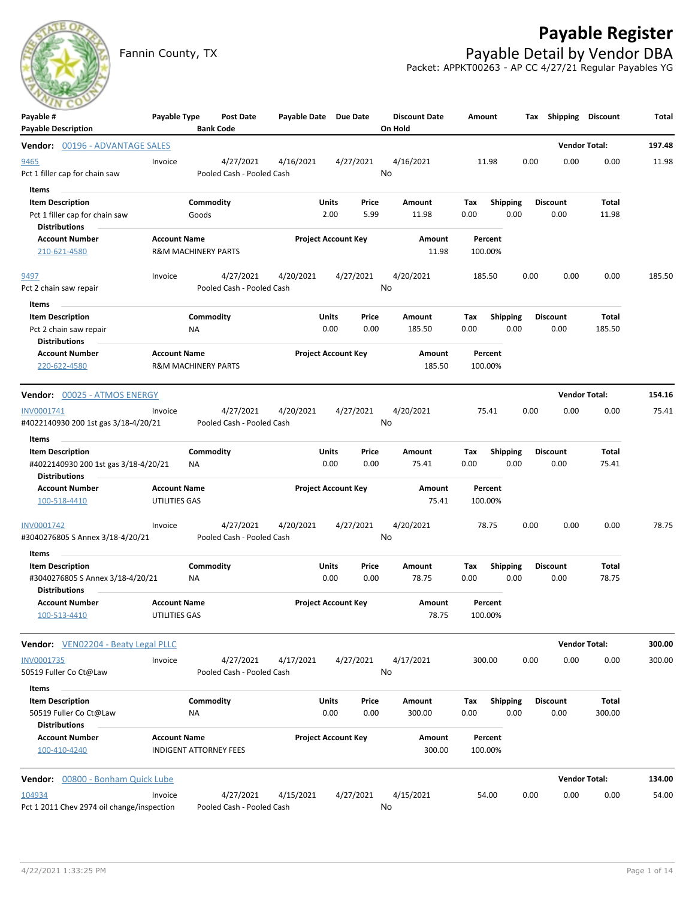# **Payable Register**



Fannin County, TX **Payable Detail by Vendor DBA** Packet: APPKT00263 - AP CC 4/27/21 Regular Payables YG

| Payable #<br><b>Payable Description</b>                                                      | Payable Type                                          |                    | Post Date<br><b>Bank Code</b>          | Payable Date Due Date |                            |               | <b>Discount Date</b><br>On Hold | Amount             |                         |      | Tax Shipping Discount   |                      | Total  |
|----------------------------------------------------------------------------------------------|-------------------------------------------------------|--------------------|----------------------------------------|-----------------------|----------------------------|---------------|---------------------------------|--------------------|-------------------------|------|-------------------------|----------------------|--------|
| Vendor: 00196 - ADVANTAGE SALES                                                              |                                                       |                    |                                        |                       |                            |               |                                 |                    |                         |      |                         | <b>Vendor Total:</b> | 197.48 |
| 9465<br>Pct 1 filler cap for chain saw                                                       | Invoice                                               |                    | 4/27/2021<br>Pooled Cash - Pooled Cash | 4/16/2021             |                            | 4/27/2021     | 4/16/2021<br>No                 | 11.98              |                         | 0.00 | 0.00                    | 0.00                 | 11.98  |
| Items<br><b>Item Description</b><br>Pct 1 filler cap for chain saw<br><b>Distributions</b>   |                                                       | Commodity<br>Goods |                                        |                       | Units<br>2.00              | Price<br>5.99 | Amount<br>11.98                 | Tax<br>0.00        | <b>Shipping</b><br>0.00 |      | <b>Discount</b><br>0.00 | Total<br>11.98       |        |
| <b>Account Number</b><br>210-621-4580                                                        | <b>Account Name</b><br><b>R&amp;M MACHINERY PARTS</b> |                    |                                        |                       | <b>Project Account Key</b> |               | <b>Amount</b><br>11.98          | Percent<br>100.00% |                         |      |                         |                      |        |
| 9497<br>Pct 2 chain saw repair                                                               | Invoice                                               |                    | 4/27/2021<br>Pooled Cash - Pooled Cash | 4/20/2021             |                            | 4/27/2021     | 4/20/2021<br>No                 | 185.50             |                         | 0.00 | 0.00                    | 0.00                 | 185.50 |
| Items<br><b>Item Description</b><br>Pct 2 chain saw repair<br><b>Distributions</b>           |                                                       | Commodity<br>ΝA    |                                        |                       | Units<br>0.00              | Price<br>0.00 | Amount<br>185.50                | Tax<br>0.00        | <b>Shipping</b><br>0.00 |      | <b>Discount</b><br>0.00 | Total<br>185.50      |        |
| <b>Account Number</b><br>220-622-4580                                                        | <b>Account Name</b><br><b>R&amp;M MACHINERY PARTS</b> |                    |                                        |                       | <b>Project Account Key</b> |               | Amount<br>185.50                | Percent<br>100.00% |                         |      |                         |                      |        |
| Vendor: 00025 - ATMOS ENERGY                                                                 |                                                       |                    |                                        |                       |                            |               |                                 |                    |                         |      |                         | <b>Vendor Total:</b> | 154.16 |
| INV0001741<br>#4022140930 200 1st gas 3/18-4/20/21                                           | Invoice                                               |                    | 4/27/2021<br>Pooled Cash - Pooled Cash | 4/20/2021             |                            | 4/27/2021     | 4/20/2021<br>No                 | 75.41              |                         | 0.00 | 0.00                    | 0.00                 | 75.41  |
| Items                                                                                        |                                                       |                    |                                        |                       |                            |               |                                 |                    |                         |      |                         |                      |        |
| <b>Item Description</b><br>#4022140930 200 1st gas 3/18-4/20/21<br><b>Distributions</b>      |                                                       | Commodity<br>ΝA    |                                        |                       | Units<br>0.00              | Price<br>0.00 | Amount<br>75.41                 | Tax<br>0.00        | <b>Shipping</b><br>0.00 |      | <b>Discount</b><br>0.00 | Total<br>75.41       |        |
| <b>Account Number</b><br>100-518-4410                                                        | <b>Account Name</b><br>UTILITIES GAS                  |                    |                                        |                       | <b>Project Account Key</b> |               | Amount<br>75.41                 | Percent<br>100.00% |                         |      |                         |                      |        |
| INV0001742<br>#3040276805 S Annex 3/18-4/20/21                                               | Invoice                                               |                    | 4/27/2021<br>Pooled Cash - Pooled Cash | 4/20/2021             |                            | 4/27/2021     | 4/20/2021<br>No                 | 78.75              |                         | 0.00 | 0.00                    | 0.00                 | 78.75  |
| Items<br><b>Item Description</b><br>#3040276805 S Annex 3/18-4/20/21<br><b>Distributions</b> |                                                       | Commodity<br>NA    |                                        |                       | Units<br>0.00              | Price<br>0.00 | Amount<br>78.75                 | Tax<br>0.00        | <b>Shipping</b><br>0.00 |      | <b>Discount</b><br>0.00 | Total<br>78.75       |        |
| <b>Account Number</b><br>100-513-4410                                                        | <b>Account Name</b><br>UTILITIES GAS                  |                    |                                        |                       | <b>Project Account Key</b> |               | Amount<br>78.75                 | Percent<br>100.00% |                         |      |                         |                      |        |
| Vendor: VEN02204 - Beaty Legal PLLC                                                          |                                                       |                    |                                        |                       |                            |               |                                 |                    |                         |      |                         | <b>Vendor Total:</b> | 300.00 |
| INV0001735<br>50519 Fuller Co Ct@Law                                                         | Invoice                                               |                    | 4/27/2021<br>Pooled Cash - Pooled Cash | 4/17/2021             |                            | 4/27/2021     | 4/17/2021<br>No                 | 300.00             |                         | 0.00 | 0.00                    | 0.00                 | 300.00 |
| Items<br><b>Item Description</b><br>50519 Fuller Co Ct@Law<br><b>Distributions</b>           |                                                       | Commodity<br>NA    |                                        |                       | <b>Units</b><br>0.00       | Price<br>0.00 | Amount<br>300.00                | Tax<br>0.00        | <b>Shipping</b><br>0.00 |      | <b>Discount</b><br>0.00 | Total<br>300.00      |        |
| <b>Account Number</b><br>100-410-4240                                                        | <b>Account Name</b><br><b>INDIGENT ATTORNEY FEES</b>  |                    |                                        |                       | <b>Project Account Key</b> |               | Amount<br>300.00                | Percent<br>100.00% |                         |      |                         |                      |        |
| Vendor: 00800 - Bonham Quick Lube                                                            |                                                       |                    |                                        |                       |                            |               |                                 |                    |                         |      |                         | <b>Vendor Total:</b> | 134.00 |
| 104934<br>Pct 1 2011 Chev 2974 oil change/inspection                                         | Invoice                                               |                    | 4/27/2021<br>Pooled Cash - Pooled Cash | 4/15/2021             |                            | 4/27/2021     | 4/15/2021<br>No                 | 54.00              |                         | 0.00 | 0.00                    | 0.00                 | 54.00  |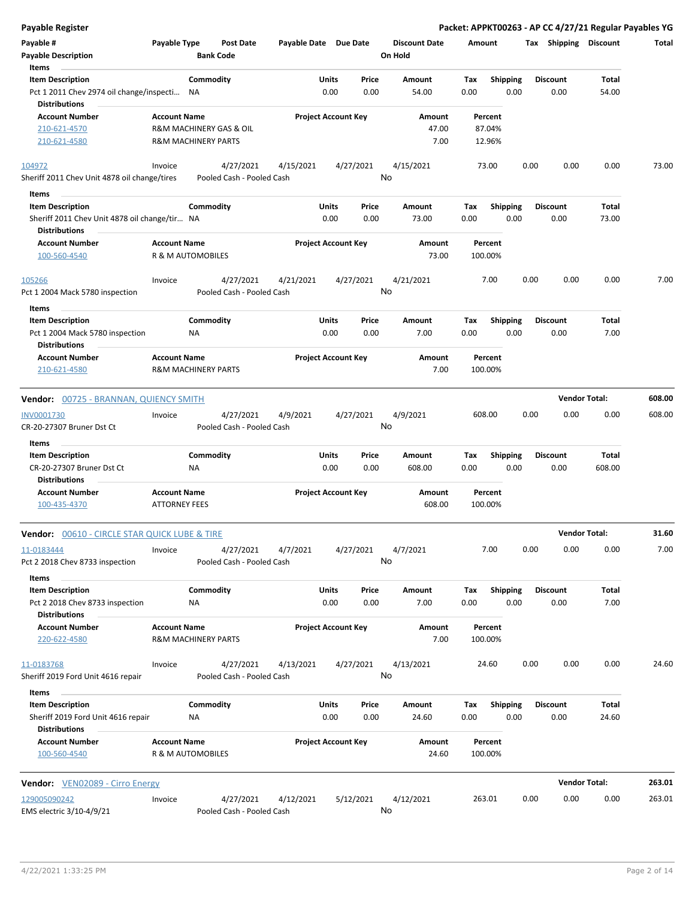| <b>Payable Register</b>                                                      |                                                       |                                        |                       |                            |                 |                                 |             |                         |      |                         | Packet: APPKT00263 - AP CC 4/27/21 Regular Payables YG |        |
|------------------------------------------------------------------------------|-------------------------------------------------------|----------------------------------------|-----------------------|----------------------------|-----------------|---------------------------------|-------------|-------------------------|------|-------------------------|--------------------------------------------------------|--------|
| Payable #<br><b>Payable Description</b>                                      | Payable Type                                          | <b>Post Date</b><br><b>Bank Code</b>   | Payable Date Due Date |                            |                 | <b>Discount Date</b><br>On Hold | Amount      |                         |      | Tax Shipping Discount   |                                                        | Total  |
| Items                                                                        |                                                       |                                        |                       |                            |                 |                                 |             |                         |      |                         |                                                        |        |
| <b>Item Description</b>                                                      | Commodity                                             |                                        |                       | Units                      | Price           | Amount                          | Tax         | <b>Shipping</b>         |      | <b>Discount</b>         | Total                                                  |        |
| Pct 1 2011 Chev 2974 oil change/inspecti<br><b>Distributions</b>             | ΝA                                                    |                                        |                       | 0.00                       | 0.00            | 54.00                           | 0.00        | 0.00                    |      | 0.00                    | 54.00                                                  |        |
| <b>Account Number</b><br>210-621-4570                                        | <b>Account Name</b><br>R&M MACHINERY GAS & OIL        |                                        |                       | <b>Project Account Key</b> |                 | Amount<br>47.00                 |             | Percent<br>87.04%       |      |                         |                                                        |        |
| 210-621-4580                                                                 | <b>R&amp;M MACHINERY PARTS</b>                        |                                        |                       |                            |                 | 7.00                            |             | 12.96%                  |      |                         |                                                        |        |
| 104972                                                                       | Invoice                                               | 4/27/2021                              | 4/15/2021             |                            | 4/27/2021       | 4/15/2021                       |             | 73.00                   | 0.00 | 0.00                    | 0.00                                                   | 73.00  |
| Sheriff 2011 Chev Unit 4878 oil change/tires                                 |                                                       | Pooled Cash - Pooled Cash              |                       |                            | No              |                                 |             |                         |      |                         |                                                        |        |
| Items                                                                        |                                                       |                                        |                       |                            |                 |                                 |             |                         |      |                         |                                                        |        |
| <b>Item Description</b>                                                      | Commodity                                             |                                        |                       | Units                      | Price           | Amount                          | Tax         | <b>Shipping</b>         |      | <b>Discount</b>         | Total                                                  |        |
| Sheriff 2011 Chev Unit 4878 oil change/tir NA                                |                                                       |                                        |                       | 0.00                       | 0.00            | 73.00                           | 0.00        | 0.00                    |      | 0.00                    | 73.00                                                  |        |
| <b>Distributions</b>                                                         |                                                       |                                        |                       |                            |                 |                                 |             |                         |      |                         |                                                        |        |
| <b>Account Number</b><br>100-560-4540                                        | <b>Account Name</b><br>R & M AUTOMOBILES              |                                        |                       | <b>Project Account Key</b> |                 | Amount<br>73.00                 |             | Percent<br>100.00%      |      |                         |                                                        |        |
| 105266                                                                       | Invoice                                               | 4/27/2021                              | 4/21/2021             |                            | 4/27/2021       | 4/21/2021                       |             | 7.00                    | 0.00 | 0.00                    | 0.00                                                   | 7.00   |
| Pct 1 2004 Mack 5780 inspection                                              |                                                       | Pooled Cash - Pooled Cash              |                       |                            | No              |                                 |             |                         |      |                         |                                                        |        |
|                                                                              |                                                       |                                        |                       |                            |                 |                                 |             |                         |      |                         |                                                        |        |
| Items                                                                        |                                                       |                                        |                       |                            |                 |                                 |             |                         |      |                         |                                                        |        |
| <b>Item Description</b><br>Pct 1 2004 Mack 5780 inspection                   | Commodity<br>ΝA                                       |                                        |                       | Units<br>0.00              | Price<br>0.00   | Amount<br>7.00                  | Tax<br>0.00 | <b>Shipping</b><br>0.00 |      | <b>Discount</b><br>0.00 | Total<br>7.00                                          |        |
| <b>Distributions</b>                                                         |                                                       |                                        |                       |                            |                 |                                 |             |                         |      |                         |                                                        |        |
| <b>Account Number</b><br>210-621-4580                                        | <b>Account Name</b><br><b>R&amp;M MACHINERY PARTS</b> |                                        |                       | <b>Project Account Key</b> |                 | Amount<br>7.00                  |             | Percent<br>100.00%      |      |                         |                                                        |        |
| <b>Vendor: 00725 - BRANNAN, QUIENCY SMITH</b>                                |                                                       |                                        |                       |                            |                 |                                 |             |                         |      |                         | <b>Vendor Total:</b>                                   | 608.00 |
| INV0001730                                                                   | Invoice                                               | 4/27/2021                              | 4/9/2021              |                            | 4/27/2021       | 4/9/2021                        |             | 608.00                  | 0.00 | 0.00                    | 0.00                                                   | 608.00 |
| CR-20-27307 Bruner Dst Ct                                                    |                                                       | Pooled Cash - Pooled Cash              |                       |                            | No              |                                 |             |                         |      |                         |                                                        |        |
| Items                                                                        |                                                       |                                        |                       |                            |                 |                                 |             |                         |      |                         |                                                        |        |
| <b>Item Description</b><br>CR-20-27307 Bruner Dst Ct<br><b>Distributions</b> | Commodity<br><b>NA</b>                                |                                        |                       | Units<br>0.00              | Price<br>0.00   | Amount<br>608.00                | Tax<br>0.00 | <b>Shipping</b><br>0.00 |      | <b>Discount</b><br>0.00 | Total<br>608.00                                        |        |
| <b>Account Number</b>                                                        | <b>Account Name</b>                                   |                                        |                       | <b>Project Account Key</b> |                 | Amount                          |             | Percent                 |      |                         |                                                        |        |
| 100-435-4370                                                                 | <b>ATTORNEY FEES</b>                                  |                                        |                       |                            |                 | 608.00                          |             | 100.00%                 |      |                         |                                                        |        |
| Vendor: 00610 - CIRCLE STAR QUICK LUBE & TIRE                                |                                                       |                                        |                       |                            |                 |                                 |             |                         |      | <b>Vendor Total:</b>    |                                                        | 31.60  |
| 11-0183444                                                                   | Invoice                                               | 4/27/2021                              | 4/7/2021              |                            | 4/27/2021       | 4/7/2021                        |             | 7.00                    | 0.00 | 0.00                    | 0.00                                                   | 7.00   |
| Pct 2 2018 Chev 8733 inspection<br>Items                                     |                                                       | Pooled Cash - Pooled Cash              |                       |                            | No              |                                 |             |                         |      |                         |                                                        |        |
| <b>Item Description</b>                                                      | Commodity                                             |                                        |                       | <b>Units</b>               | Price           | Amount                          | Tax         | <b>Shipping</b>         |      | <b>Discount</b>         | Total                                                  |        |
| Pct 2 2018 Chev 8733 inspection<br><b>Distributions</b>                      | NA                                                    |                                        |                       | 0.00                       | 0.00            | 7.00                            | 0.00        | 0.00                    |      | 0.00                    | 7.00                                                   |        |
| <b>Account Number</b><br>220-622-4580                                        | <b>Account Name</b><br><b>R&amp;M MACHINERY PARTS</b> |                                        |                       | <b>Project Account Key</b> |                 | Amount<br>7.00                  |             | Percent<br>100.00%      |      |                         |                                                        |        |
|                                                                              |                                                       |                                        |                       |                            |                 |                                 |             |                         |      |                         |                                                        |        |
| 11-0183768<br>Sheriff 2019 Ford Unit 4616 repair                             | Invoice                                               | 4/27/2021<br>Pooled Cash - Pooled Cash | 4/13/2021             |                            | 4/27/2021<br>No | 4/13/2021                       |             | 24.60                   | 0.00 | 0.00                    | 0.00                                                   | 24.60  |
| Items                                                                        |                                                       |                                        |                       |                            |                 |                                 |             |                         |      |                         |                                                        |        |
| <b>Item Description</b><br>Sheriff 2019 Ford Unit 4616 repair                | Commodity<br>ΝA                                       |                                        |                       | Units<br>0.00              | Price<br>0.00   | Amount<br>24.60                 | Tax<br>0.00 | Shipping<br>0.00        |      | <b>Discount</b><br>0.00 | Total<br>24.60                                         |        |
| <b>Distributions</b>                                                         |                                                       |                                        |                       |                            |                 |                                 |             |                         |      |                         |                                                        |        |
| <b>Account Number</b><br>100-560-4540                                        | <b>Account Name</b><br>R & M AUTOMOBILES              |                                        |                       | <b>Project Account Key</b> |                 | Amount<br>24.60                 |             | Percent<br>100.00%      |      |                         |                                                        |        |
| <b>Vendor:</b> VEN02089 - Cirro Energy                                       |                                                       |                                        |                       |                            |                 |                                 |             |                         |      |                         | <b>Vendor Total:</b>                                   | 263.01 |
| 129005090242                                                                 |                                                       | 4/27/2021                              |                       |                            | 5/12/2021       | 4/12/2021                       |             | 263.01                  | 0.00 | 0.00                    | 0.00                                                   | 263.01 |
| EMS electric 3/10-4/9/21                                                     | Invoice                                               | Pooled Cash - Pooled Cash              | 4/12/2021             |                            | No              |                                 |             |                         |      |                         |                                                        |        |

 $\overline{\phantom{a}}$ 

 $\overline{\phantom{0}}$ 

 $\overline{\phantom{a}}$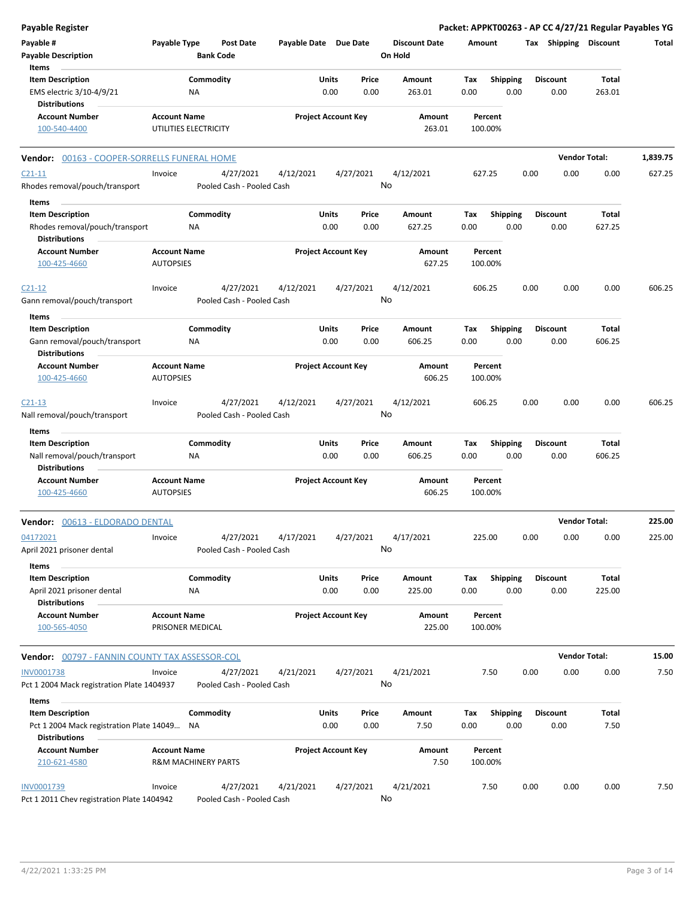| Payable Register                                                    |                                                       |                                        |                       |                                |                                 |                    |                         |      |                         | Packet: APPKT00263 - AP CC 4/27/21 Regular Payables YG |          |
|---------------------------------------------------------------------|-------------------------------------------------------|----------------------------------------|-----------------------|--------------------------------|---------------------------------|--------------------|-------------------------|------|-------------------------|--------------------------------------------------------|----------|
| Payable #<br><b>Payable Description</b>                             | Payable Type                                          | <b>Post Date</b><br><b>Bank Code</b>   | Payable Date Due Date |                                | <b>Discount Date</b><br>On Hold | Amount             |                         |      |                         | Tax Shipping Discount                                  | Total    |
| Items<br><b>Item Description</b>                                    |                                                       | Commodity                              |                       | Units<br>Price                 | Amount                          | Tax                | <b>Shipping</b>         |      | <b>Discount</b>         | Total                                                  |          |
| EMS electric 3/10-4/9/21<br><b>Distributions</b>                    | ΝA                                                    |                                        |                       | 0.00<br>0.00                   | 263.01                          | 0.00               | 0.00                    |      | 0.00                    | 263.01                                                 |          |
| <b>Account Number</b><br>100-540-4400                               | <b>Account Name</b><br>UTILITIES ELECTRICITY          |                                        |                       | <b>Project Account Key</b>     | Amount<br>263.01                | Percent<br>100.00% |                         |      |                         |                                                        |          |
| Vendor: 00163 - COOPER-SORRELLS FUNERAL HOME                        |                                                       |                                        |                       |                                |                                 |                    |                         |      |                         | <b>Vendor Total:</b>                                   | 1,839.75 |
| $C21-11$                                                            | Invoice                                               | 4/27/2021                              | 4/12/2021             | 4/27/2021                      | 4/12/2021                       | 627.25             |                         | 0.00 | 0.00                    | 0.00                                                   | 627.25   |
| Rhodes removal/pouch/transport                                      |                                                       | Pooled Cash - Pooled Cash              |                       |                                | No                              |                    |                         |      |                         |                                                        |          |
| Items                                                               |                                                       |                                        |                       |                                |                                 |                    |                         |      |                         |                                                        |          |
| <b>Item Description</b>                                             |                                                       | Commodity                              |                       | Units<br>Price                 | Amount                          | Tax                | Shipping                |      | <b>Discount</b>         | Total                                                  |          |
| Rhodes removal/pouch/transport<br><b>Distributions</b>              | ΝA                                                    |                                        |                       | 0.00<br>0.00                   | 627.25                          | 0.00               | 0.00                    |      | 0.00                    | 627.25                                                 |          |
| <b>Account Number</b><br>100-425-4660                               | <b>Account Name</b><br><b>AUTOPSIES</b>               |                                        |                       | <b>Project Account Key</b>     | Amount<br>627.25                | Percent<br>100.00% |                         |      |                         |                                                        |          |
| $C21-12$                                                            | Invoice                                               | 4/27/2021                              | 4/12/2021             | 4/27/2021                      | 4/12/2021                       | 606.25             |                         | 0.00 | 0.00                    | 0.00                                                   | 606.25   |
| Gann removal/pouch/transport                                        |                                                       | Pooled Cash - Pooled Cash              |                       |                                | No                              |                    |                         |      |                         |                                                        |          |
| Items                                                               |                                                       |                                        |                       |                                |                                 |                    |                         |      |                         |                                                        |          |
| <b>Item Description</b>                                             |                                                       | Commodity                              |                       | Units<br>Price                 | Amount                          | Tax                | <b>Shipping</b>         |      | <b>Discount</b>         | Total                                                  |          |
| Gann removal/pouch/transport<br><b>Distributions</b>                | ΝA                                                    |                                        |                       | 0.00<br>0.00                   | 606.25                          | 0.00               | 0.00                    |      | 0.00                    | 606.25                                                 |          |
| <b>Account Number</b>                                               | <b>Account Name</b>                                   |                                        |                       | <b>Project Account Key</b>     | Amount                          | Percent            |                         |      |                         |                                                        |          |
| 100-425-4660                                                        | <b>AUTOPSIES</b>                                      |                                        |                       |                                | 606.25                          | 100.00%            |                         |      |                         |                                                        |          |
| $C21-13$                                                            | Invoice                                               | 4/27/2021                              | 4/12/2021             | 4/27/2021                      | 4/12/2021                       | 606.25             |                         | 0.00 | 0.00                    | 0.00                                                   | 606.25   |
| Nall removal/pouch/transport                                        |                                                       | Pooled Cash - Pooled Cash              |                       |                                | No                              |                    |                         |      |                         |                                                        |          |
| Items                                                               |                                                       |                                        |                       |                                |                                 |                    |                         |      |                         |                                                        |          |
| <b>Item Description</b>                                             |                                                       | Commodity                              |                       | Units<br>Price                 | Amount                          | Tax                | <b>Shipping</b>         |      | <b>Discount</b>         | Total                                                  |          |
| Nall removal/pouch/transport<br><b>Distributions</b>                | ΝA                                                    |                                        |                       | 0.00<br>0.00                   | 606.25                          | 0.00               | 0.00                    |      | 0.00                    | 606.25                                                 |          |
| <b>Account Number</b><br>100-425-4660                               | <b>Account Name</b><br><b>AUTOPSIES</b>               |                                        |                       | <b>Project Account Key</b>     | Amount<br>606.25                | Percent<br>100.00% |                         |      |                         |                                                        |          |
| Vendor: 00613 - ELDORADO DENTAL                                     |                                                       |                                        |                       |                                |                                 |                    |                         |      | <b>Vendor Total:</b>    |                                                        | 225.00   |
| 04172021                                                            | Invoice                                               | 4/27/2021                              | 4/17/2021             | 4/27/2021                      | 4/17/2021                       | 225.00             |                         | 0.00 | 0.00                    | 0.00                                                   | 225.00   |
| April 2021 prisoner dental<br>Items                                 |                                                       | Pooled Cash - Pooled Cash              |                       |                                | No                              |                    |                         |      |                         |                                                        |          |
| <b>Item Description</b>                                             |                                                       | Commodity                              |                       | Units<br>Price                 | Amount                          | Tax                | <b>Shipping</b>         |      | <b>Discount</b>         | Total                                                  |          |
| April 2021 prisoner dental<br><b>Distributions</b>                  | NA                                                    |                                        |                       | 0.00<br>0.00                   | 225.00                          | 0.00               | 0.00                    |      | 0.00                    | 225.00                                                 |          |
| <b>Account Number</b><br>100-565-4050                               | <b>Account Name</b><br>PRISONER MEDICAL               |                                        |                       | <b>Project Account Key</b>     | Amount<br>225.00                | Percent<br>100.00% |                         |      |                         |                                                        |          |
| <b>Vendor: 00797 - FANNIN COUNTY TAX ASSESSOR-COL</b>               |                                                       |                                        |                       |                                |                                 |                    |                         |      |                         | <b>Vendor Total:</b>                                   | 15.00    |
| <b>INV0001738</b>                                                   | Invoice                                               | 4/27/2021                              | 4/21/2021             | 4/27/2021                      | 4/21/2021                       | 7.50               |                         | 0.00 | 0.00                    | 0.00                                                   | 7.50     |
| Pct 1 2004 Mack registration Plate 1404937                          |                                                       | Pooled Cash - Pooled Cash              |                       |                                | No                              |                    |                         |      |                         |                                                        |          |
| Items                                                               |                                                       |                                        |                       |                                |                                 |                    |                         |      |                         |                                                        |          |
| <b>Item Description</b><br>Pct 1 2004 Mack registration Plate 14049 | NA.                                                   | Commodity                              |                       | Units<br>Price<br>0.00<br>0.00 | Amount<br>7.50                  | Tax<br>0.00        | <b>Shipping</b><br>0.00 |      | <b>Discount</b><br>0.00 | Total<br>7.50                                          |          |
| <b>Distributions</b>                                                |                                                       |                                        |                       |                                |                                 |                    |                         |      |                         |                                                        |          |
| <b>Account Number</b><br>210-621-4580                               | <b>Account Name</b><br><b>R&amp;M MACHINERY PARTS</b> |                                        |                       | <b>Project Account Key</b>     | Amount<br>7.50                  | Percent<br>100.00% |                         |      |                         |                                                        |          |
| INV0001739<br>Pct 1 2011 Chev registration Plate 1404942            | Invoice                                               | 4/27/2021<br>Pooled Cash - Pooled Cash | 4/21/2021             | 4/27/2021                      | 4/21/2021<br>No                 | 7.50               |                         | 0.00 | 0.00                    | 0.00                                                   | 7.50     |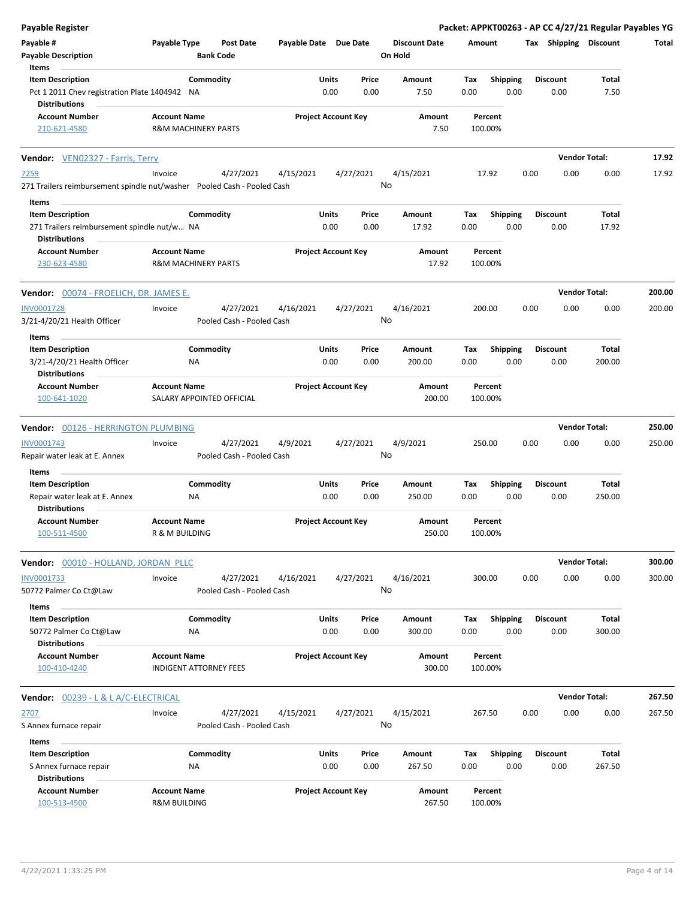| <b>Payable Register</b>                                                                |                                                                               |           |                                 |                  | Packet: APPKT00263 - AP CC 4/27/21 Regular Payables YG |                         |                      |        |
|----------------------------------------------------------------------------------------|-------------------------------------------------------------------------------|-----------|---------------------------------|------------------|--------------------------------------------------------|-------------------------|----------------------|--------|
| Payable #<br><b>Payable Description</b>                                                | Payable Type<br><b>Post Date</b><br>Payable Date Due Date<br><b>Bank Code</b> |           | <b>Discount Date</b><br>On Hold | Amount           | Tax Shipping Discount                                  |                         | Total                |        |
| Items                                                                                  |                                                                               |           |                                 |                  |                                                        |                         |                      |        |
| <b>Item Description</b><br>Pct 1 2011 Chev registration Plate 1404942 NA               | Commodity                                                                     | Units     | Price<br>0.00<br>0.00           | Amount<br>7.50   | Tax<br><b>Shipping</b><br>0.00<br>0.00                 | <b>Discount</b><br>0.00 | Total<br>7.50        |        |
| <b>Distributions</b>                                                                   |                                                                               |           |                                 |                  |                                                        |                         |                      |        |
| <b>Account Number</b><br>210-621-4580                                                  | <b>Account Name</b><br><b>R&amp;M MACHINERY PARTS</b>                         |           | <b>Project Account Key</b>      | Amount<br>7.50   | Percent<br>100.00%                                     |                         |                      |        |
| Vendor: VEN02327 - Farris, Terry                                                       |                                                                               |           |                                 |                  |                                                        |                         | <b>Vendor Total:</b> | 17.92  |
| <u>7259</u><br>271 Trailers reimbursement spindle nut/washer Pooled Cash - Pooled Cash | Invoice<br>4/27/2021                                                          | 4/15/2021 | 4/27/2021                       | 4/15/2021<br>No  | 17.92                                                  | 0.00<br>0.00            | 0.00                 | 17.92  |
| Items                                                                                  |                                                                               |           |                                 |                  |                                                        |                         |                      |        |
| <b>Item Description</b>                                                                | Commodity                                                                     | Units     | Price                           | Amount           | <b>Shipping</b><br>Tax                                 | <b>Discount</b>         | Total                |        |
| 271 Trailers reimbursement spindle nut/w NA<br><b>Distributions</b>                    |                                                                               |           | 0.00<br>0.00                    | 17.92            | 0.00<br>0.00                                           | 0.00                    | 17.92                |        |
| <b>Account Number</b><br>230-623-4580                                                  | <b>Account Name</b><br><b>R&amp;M MACHINERY PARTS</b>                         |           | <b>Project Account Key</b>      | Amount<br>17.92  | Percent<br>100.00%                                     |                         |                      |        |
| <b>Vendor: 00074 - FROELICH, DR. JAMES E.</b>                                          |                                                                               |           |                                 |                  |                                                        |                         | <b>Vendor Total:</b> | 200.00 |
| <b>INV0001728</b><br>3/21-4/20/21 Health Officer                                       | 4/27/2021<br>Invoice<br>Pooled Cash - Pooled Cash                             | 4/16/2021 | 4/27/2021                       | 4/16/2021<br>No  | 200.00                                                 | 0.00<br>0.00            | 0.00                 | 200.00 |
| Items                                                                                  |                                                                               |           |                                 |                  |                                                        |                         |                      |        |
| <b>Item Description</b><br>3/21-4/20/21 Health Officer<br><b>Distributions</b>         | Commodity<br>ΝA                                                               | Units     | Price<br>0.00<br>0.00           | Amount<br>200.00 | <b>Shipping</b><br>Tax<br>0.00<br>0.00                 | <b>Discount</b><br>0.00 | Total<br>200.00      |        |
| <b>Account Number</b><br>100-641-1020                                                  | <b>Account Name</b><br>SALARY APPOINTED OFFICIAL                              |           | <b>Project Account Key</b>      | Amount<br>200.00 | Percent<br>100.00%                                     |                         |                      |        |
| Vendor: 00126 - HERRINGTON PLUMBING                                                    |                                                                               |           |                                 |                  |                                                        |                         | <b>Vendor Total:</b> | 250.00 |
| INV0001743                                                                             | 4/27/2021<br>Invoice                                                          | 4/9/2021  | 4/27/2021                       | 4/9/2021         | 250.00                                                 | 0.00<br>0.00            | 0.00                 | 250.00 |
| Repair water leak at E. Annex                                                          | Pooled Cash - Pooled Cash                                                     |           |                                 | No               |                                                        |                         |                      |        |
| Items                                                                                  |                                                                               |           |                                 |                  |                                                        |                         |                      |        |
| <b>Item Description</b>                                                                | Commodity                                                                     | Units     | Price                           | Amount           | <b>Shipping</b><br>Tax                                 | <b>Discount</b>         | Total                |        |
| Repair water leak at E. Annex<br><b>Distributions</b>                                  | ΝA                                                                            |           | 0.00<br>0.00                    | 250.00           | 0.00<br>0.00                                           | 0.00                    | 250.00               |        |
| <b>Account Number</b><br>100-511-4500                                                  | <b>Account Name</b><br>R & M BUILDING                                         |           | <b>Project Account Key</b>      | Amount<br>250.00 | Percent<br>100.00%                                     |                         |                      |        |
| Vendor: 00010 - HOLLAND, JORDAN PLLC                                                   |                                                                               |           |                                 |                  |                                                        |                         | <b>Vendor Total:</b> | 300.00 |
| INV0001733<br>50772 Palmer Co Ct@Law                                                   | 4/27/2021<br>Invoice<br>Pooled Cash - Pooled Cash                             | 4/16/2021 | 4/27/2021                       | 4/16/2021<br>No  | 300.00                                                 | 0.00<br>0.00            | 0.00                 | 300.00 |
| Items<br><b>Item Description</b>                                                       | Commodity                                                                     | Units     | Price                           | Amount           | <b>Shipping</b><br>Tax                                 | Discount                | Total                |        |
| 50772 Palmer Co Ct@Law<br><b>Distributions</b>                                         | ΝA                                                                            |           | 0.00<br>0.00                    | 300.00           | 0.00<br>0.00                                           | 0.00                    | 300.00               |        |
| <b>Account Number</b><br>100-410-4240                                                  | <b>Account Name</b><br><b>INDIGENT ATTORNEY FEES</b>                          |           | <b>Project Account Key</b>      | Amount<br>300.00 | Percent<br>100.00%                                     |                         |                      |        |
| <b>Vendor: 00239 - L &amp; L A/C-ELECTRICAL</b>                                        |                                                                               |           |                                 |                  |                                                        |                         | <b>Vendor Total:</b> | 267.50 |
| 2707<br>S Annex furnace repair                                                         | 4/27/2021<br>Invoice<br>Pooled Cash - Pooled Cash                             | 4/15/2021 | 4/27/2021                       | 4/15/2021<br>No  | 267.50                                                 | 0.00<br>0.00            | 0.00                 | 267.50 |
| Items                                                                                  |                                                                               |           |                                 |                  |                                                        |                         |                      |        |
| <b>Item Description</b>                                                                | Commodity                                                                     | Units     | Price                           | Amount           | <b>Shipping</b><br>Tax                                 | <b>Discount</b>         | Total                |        |
| S Annex furnace repair<br><b>Distributions</b>                                         | NA                                                                            |           | 0.00<br>0.00                    | 267.50           | 0.00<br>0.00                                           | 0.00                    | 267.50               |        |
| <b>Account Number</b><br>100-513-4500                                                  | <b>Account Name</b><br><b>R&amp;M BUILDING</b>                                |           | <b>Project Account Key</b>      | Amount<br>267.50 | Percent<br>100.00%                                     |                         |                      |        |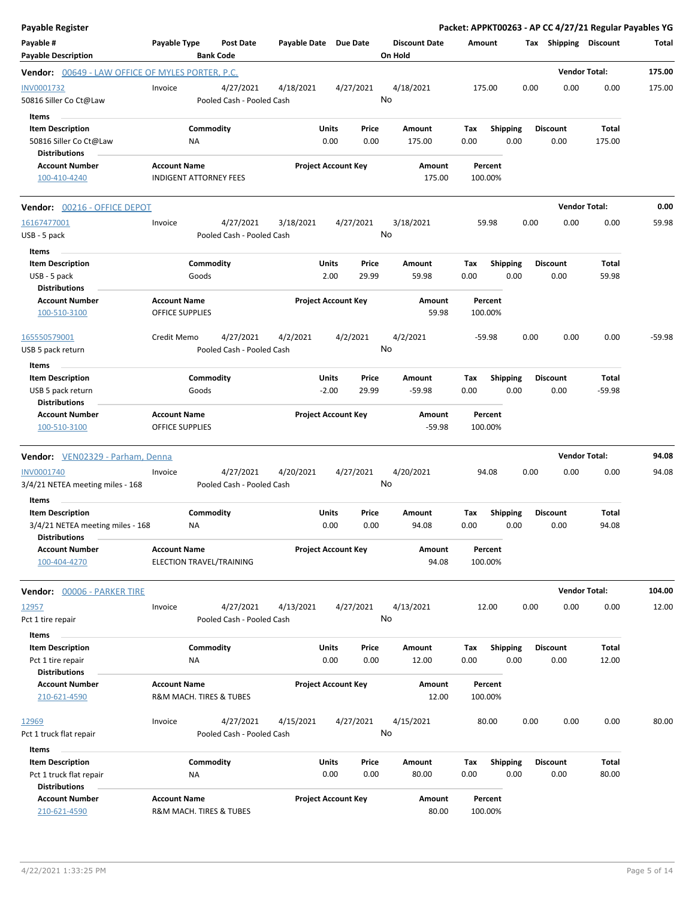| Payable Register                                                                             |                                                      |                                        |                       |                                    |                                 |                    |                         |      |                         | Packet: APPKT00263 - AP CC 4/27/21 Regular Payables YG |          |
|----------------------------------------------------------------------------------------------|------------------------------------------------------|----------------------------------------|-----------------------|------------------------------------|---------------------------------|--------------------|-------------------------|------|-------------------------|--------------------------------------------------------|----------|
| Payable #<br><b>Payable Description</b>                                                      | Payable Type<br><b>Bank Code</b>                     | <b>Post Date</b>                       | Payable Date Due Date |                                    | <b>Discount Date</b><br>On Hold | Amount             |                         |      | Tax Shipping Discount   |                                                        | Total    |
| <b>Vendor:</b> 00649 - LAW OFFICE OF MYLES PORTER, P.C.                                      |                                                      |                                        |                       |                                    |                                 |                    |                         |      |                         | <b>Vendor Total:</b>                                   | 175.00   |
| INV0001732<br>50816 Siller Co Ct@Law                                                         | Invoice                                              | 4/27/2021<br>Pooled Cash - Pooled Cash | 4/18/2021             | 4/27/2021                          | 4/18/2021<br>No                 | 175.00             |                         | 0.00 | 0.00                    | 0.00                                                   | 175.00   |
| Items<br><b>Item Description</b><br>50816 Siller Co Ct@Law                                   | Commodity<br>ΝA                                      |                                        |                       | Units<br>Price<br>0.00<br>0.00     | Amount<br>175.00                | Tax<br>0.00        | <b>Shipping</b><br>0.00 |      | <b>Discount</b><br>0.00 | Total<br>175.00                                        |          |
| <b>Distributions</b><br><b>Account Number</b><br>100-410-4240                                | <b>Account Name</b><br><b>INDIGENT ATTORNEY FEES</b> |                                        |                       | <b>Project Account Key</b>         | Amount<br>175.00                | Percent<br>100.00% |                         |      |                         |                                                        |          |
| Vendor: 00216 - OFFICE DEPOT                                                                 |                                                      |                                        |                       |                                    |                                 |                    |                         |      |                         | <b>Vendor Total:</b>                                   | 0.00     |
| 16167477001<br>USB - 5 pack                                                                  | Invoice                                              | 4/27/2021<br>Pooled Cash - Pooled Cash | 3/18/2021             | 4/27/2021                          | 3/18/2021<br>No                 | 59.98              |                         | 0.00 | 0.00                    | 0.00                                                   | 59.98    |
| Items<br><b>Item Description</b><br>USB - 5 pack<br><b>Distributions</b>                     | Commodity<br>Goods                                   |                                        |                       | Units<br>Price<br>2.00<br>29.99    | Amount<br>59.98                 | Tax<br>0.00        | <b>Shipping</b><br>0.00 |      | <b>Discount</b><br>0.00 | Total<br>59.98                                         |          |
| <b>Account Number</b><br>100-510-3100                                                        | <b>Account Name</b><br>OFFICE SUPPLIES               |                                        |                       | <b>Project Account Key</b>         | Amount<br>59.98                 | Percent<br>100.00% |                         |      |                         |                                                        |          |
| 165550579001<br>USB 5 pack return                                                            | Credit Memo                                          | 4/27/2021<br>Pooled Cash - Pooled Cash | 4/2/2021              | 4/2/2021                           | 4/2/2021<br>No                  | $-59.98$           |                         | 0.00 | 0.00                    | 0.00                                                   | $-59.98$ |
| Items<br><b>Item Description</b><br>USB 5 pack return<br><b>Distributions</b>                | Commodity<br>Goods                                   |                                        |                       | Units<br>Price<br>$-2.00$<br>29.99 | Amount<br>$-59.98$              | Tax<br>0.00        | <b>Shipping</b><br>0.00 |      | <b>Discount</b><br>0.00 | Total<br>$-59.98$                                      |          |
| <b>Account Number</b><br>100-510-3100                                                        | <b>Account Name</b><br>OFFICE SUPPLIES               |                                        |                       | <b>Project Account Key</b>         | Amount<br>$-59.98$              | Percent<br>100.00% |                         |      |                         |                                                        |          |
| Vendor: VEN02329 - Parham, Denna                                                             |                                                      |                                        |                       |                                    |                                 |                    |                         |      |                         | <b>Vendor Total:</b>                                   | 94.08    |
| INV0001740<br>3/4/21 NETEA meeting miles - 168                                               | Invoice                                              | 4/27/2021<br>Pooled Cash - Pooled Cash | 4/20/2021             | 4/27/2021                          | 4/20/2021<br>No                 | 94.08              |                         | 0.00 | 0.00                    | 0.00                                                   | 94.08    |
| Items<br><b>Item Description</b><br>3/4/21 NETEA meeting miles - 168<br><b>Distributions</b> | Commodity<br>ΝA                                      |                                        |                       | Units<br>Price<br>0.00<br>0.00     | Amount<br>94.08                 | Tax<br>0.00        | <b>Shipping</b><br>0.00 |      | <b>Discount</b><br>0.00 | Total<br>94.08                                         |          |
| <b>Account Number</b><br>100-404-4270                                                        | <b>Account Name</b><br>ELECTION TRAVEL/TRAINING      |                                        |                       | <b>Project Account Key</b>         | Amount<br>94.08                 | Percent<br>100.00% |                         |      |                         |                                                        |          |
| Vendor: 00006 - PARKER TIRE                                                                  |                                                      |                                        |                       |                                    |                                 |                    |                         |      |                         | <b>Vendor Total:</b>                                   | 104.00   |
| 12957<br>Pct 1 tire repair                                                                   | Invoice                                              | 4/27/2021<br>Pooled Cash - Pooled Cash | 4/13/2021             | 4/27/2021                          | 4/13/2021<br>No                 | 12.00              |                         | 0.00 | 0.00                    | 0.00                                                   | 12.00    |
| Items<br><b>Item Description</b><br>Pct 1 tire repair<br><b>Distributions</b>                | Commodity<br><b>NA</b>                               |                                        |                       | Units<br>Price<br>0.00<br>0.00     | Amount<br>12.00                 | Tax<br>0.00        | <b>Shipping</b><br>0.00 |      | <b>Discount</b><br>0.00 | Total<br>12.00                                         |          |
| <b>Account Number</b><br>210-621-4590                                                        | <b>Account Name</b><br>R&M MACH. TIRES & TUBES       |                                        |                       | <b>Project Account Key</b>         | Amount<br>12.00                 | Percent<br>100.00% |                         |      |                         |                                                        |          |
| 12969<br>Pct 1 truck flat repair                                                             | Invoice                                              | 4/27/2021<br>Pooled Cash - Pooled Cash | 4/15/2021             | 4/27/2021                          | 4/15/2021<br>No                 | 80.00              |                         | 0.00 | 0.00                    | 0.00                                                   | 80.00    |
| Items<br><b>Item Description</b><br>Pct 1 truck flat repair                                  | Commodity<br>ΝA                                      |                                        |                       | Units<br>Price<br>0.00<br>0.00     | Amount<br>80.00                 | Tax<br>0.00        | <b>Shipping</b><br>0.00 |      | <b>Discount</b><br>0.00 | Total<br>80.00                                         |          |
| <b>Distributions</b><br><b>Account Number</b><br>210-621-4590                                | <b>Account Name</b><br>R&M MACH. TIRES & TUBES       |                                        |                       | <b>Project Account Key</b>         | Amount<br>80.00                 | Percent<br>100.00% |                         |      |                         |                                                        |          |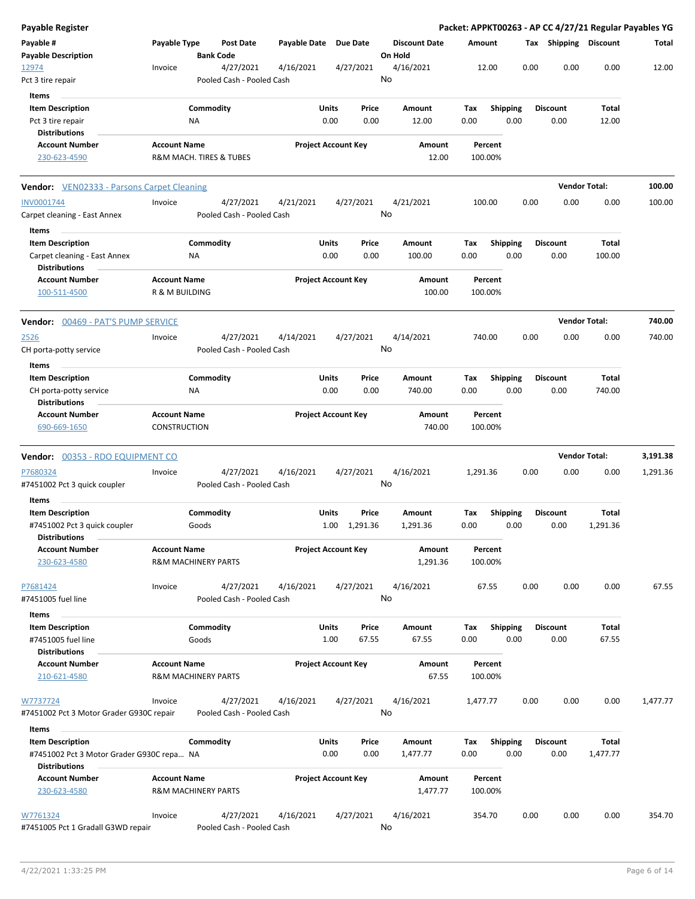| Payable Register                                                     |                                       |                                        |           |                     |                            |                                 |                    |                    |                         |      |                         |                      | Packet: APPKT00263 - AP CC 4/27/21 Regular Payables YG |
|----------------------------------------------------------------------|---------------------------------------|----------------------------------------|-----------|---------------------|----------------------------|---------------------------------|--------------------|--------------------|-------------------------|------|-------------------------|----------------------|--------------------------------------------------------|
| Payable #<br><b>Payable Description</b>                              | Payable Type                          | <b>Post Date</b><br><b>Bank Code</b>   |           | <b>Payable Date</b> | <b>Due Date</b>            | <b>Discount Date</b><br>On Hold |                    | Amount             |                         |      | Tax Shipping Discount   |                      | Total                                                  |
| 12974<br>Pct 3 tire repair                                           | Invoice                               | 4/27/2021<br>Pooled Cash - Pooled Cash | 4/16/2021 |                     | 4/27/2021                  | 4/16/2021<br>No                 |                    | 12.00              |                         | 0.00 | 0.00                    | 0.00                 | 12.00                                                  |
| Items                                                                |                                       |                                        |           |                     |                            |                                 |                    |                    |                         |      |                         |                      |                                                        |
| <b>Item Description</b><br>Pct 3 tire repair<br><b>Distributions</b> |                                       | Commodity<br>ΝA                        |           | Units<br>0.00       | Price<br>0.00              | Amount<br>12.00                 |                    | Tax<br>0.00        | <b>Shipping</b><br>0.00 |      | <b>Discount</b><br>0.00 | Total<br>12.00       |                                                        |
| <b>Account Number</b><br>230-623-4590                                | <b>Account Name</b>                   | R&M MACH. TIRES & TUBES                |           |                     | <b>Project Account Key</b> |                                 | Amount<br>12.00    | Percent<br>100.00% |                         |      |                         |                      |                                                        |
| <b>Vendor:</b> VEN02333 - Parsons Carpet Cleaning                    |                                       |                                        |           |                     |                            |                                 |                    |                    |                         |      |                         | <b>Vendor Total:</b> | 100.00                                                 |
| INV0001744                                                           | Invoice                               | 4/27/2021                              | 4/21/2021 |                     | 4/27/2021                  | 4/21/2021                       |                    | 100.00             |                         | 0.00 | 0.00                    | 0.00                 | 100.00                                                 |
| Carpet cleaning - East Annex<br>Items                                |                                       | Pooled Cash - Pooled Cash              |           |                     |                            | No                              |                    |                    |                         |      |                         |                      |                                                        |
| <b>Item Description</b>                                              |                                       | Commodity                              |           | <b>Units</b>        | Price                      | Amount                          |                    | Tax                | <b>Shipping</b>         |      | <b>Discount</b>         | Total                |                                                        |
| Carpet cleaning - East Annex<br><b>Distributions</b>                 |                                       | ΝA                                     |           | 0.00                | 0.00                       | 100.00                          |                    | 0.00               | 0.00                    |      | 0.00                    | 100.00               |                                                        |
| <b>Account Number</b><br>100-511-4500                                | <b>Account Name</b><br>R & M BUILDING |                                        |           |                     | <b>Project Account Key</b> |                                 | Amount<br>100.00   | 100.00%            | Percent                 |      |                         |                      |                                                        |
| Vendor: 00469 - PAT'S PUMP SERVICE                                   |                                       |                                        |           |                     |                            |                                 |                    |                    |                         |      |                         | <b>Vendor Total:</b> | 740.00                                                 |
| <u>2526</u>                                                          | Invoice                               | 4/27/2021                              | 4/14/2021 |                     | 4/27/2021                  | 4/14/2021                       |                    | 740.00             |                         | 0.00 | 0.00                    | 0.00                 | 740.00                                                 |
| CH porta-potty service<br>Items                                      |                                       | Pooled Cash - Pooled Cash              |           |                     |                            | No                              |                    |                    |                         |      |                         |                      |                                                        |
| <b>Item Description</b>                                              |                                       | Commodity                              |           | Units               | Price                      | Amount                          |                    | Tax                | <b>Shipping</b>         |      | Discount                | Total                |                                                        |
| CH porta-potty service<br><b>Distributions</b>                       |                                       | <b>NA</b>                              |           | 0.00                | 0.00                       | 740.00                          |                    | 0.00               | 0.00                    |      | 0.00                    | 740.00               |                                                        |
| <b>Account Number</b><br>690-669-1650                                | <b>Account Name</b><br>CONSTRUCTION   |                                        |           |                     | <b>Project Account Key</b> |                                 | Amount<br>740.00   | Percent<br>100.00% |                         |      |                         |                      |                                                        |
| Vendor: 00353 - RDO EQUIPMENT CO                                     |                                       |                                        |           |                     |                            |                                 |                    |                    |                         |      |                         | <b>Vendor Total:</b> | 3,191.38                                               |
| P7680324                                                             | Invoice                               | 4/27/2021                              | 4/16/2021 |                     | 4/27/2021                  | 4/16/2021                       |                    | 1,291.36           |                         | 0.00 | 0.00                    | 0.00                 | 1,291.36                                               |
| #7451002 Pct 3 quick coupler<br>Items                                |                                       | Pooled Cash - Pooled Cash              |           |                     |                            | No                              |                    |                    |                         |      |                         |                      |                                                        |
| <b>Item Description</b>                                              |                                       | Commodity                              |           | Units               | Price                      | <b>Amount</b>                   |                    | Tax                | <b>Shipping</b>         |      | <b>Discount</b>         | Total                |                                                        |
| #7451002 Pct 3 quick coupler<br><b>Distributions</b>                 |                                       | Goods                                  |           |                     | 1.00 1,291.36              | 1,291.36                        |                    | 0.00               | 0.00                    |      | 0.00                    | 1,291.36             |                                                        |
| <b>Account Number</b><br>230-623-4580                                | <b>Account Name</b>                   | <b>R&amp;M MACHINERY PARTS</b>         |           |                     | <b>Project Account Key</b> |                                 | Amount<br>1,291.36 | 100.00%            | Percent                 |      |                         |                      |                                                        |
| P7681424<br>#7451005 fuel line                                       | Invoice                               | 4/27/2021<br>Pooled Cash - Pooled Cash | 4/16/2021 |                     | 4/27/2021                  | 4/16/2021<br>No                 |                    |                    | 67.55                   | 0.00 | 0.00                    | 0.00                 | 67.55                                                  |
| Items                                                                |                                       |                                        |           |                     |                            |                                 |                    |                    |                         |      |                         |                      |                                                        |
| <b>Item Description</b><br>#7451005 fuel line                        |                                       | Commodity<br>Goods                     |           | Units<br>1.00       | Price<br>67.55             | Amount<br>67.55                 |                    | Тах<br>0.00        | <b>Shipping</b><br>0.00 |      | <b>Discount</b><br>0.00 | Total<br>67.55       |                                                        |
| <b>Distributions</b>                                                 |                                       |                                        |           |                     |                            |                                 |                    |                    |                         |      |                         |                      |                                                        |
| <b>Account Number</b><br>210-621-4580                                | <b>Account Name</b>                   | <b>R&amp;M MACHINERY PARTS</b>         |           |                     | <b>Project Account Key</b> |                                 | Amount<br>67.55    | 100.00%            | Percent                 |      |                         |                      |                                                        |
| W7737724<br>#7451002 Pct 3 Motor Grader G930C repair                 | Invoice                               | 4/27/2021<br>Pooled Cash - Pooled Cash | 4/16/2021 |                     | 4/27/2021                  | 4/16/2021<br>No                 |                    | 1,477.77           |                         | 0.00 | 0.00                    | 0.00                 | 1,477.77                                               |
|                                                                      |                                       |                                        |           |                     |                            |                                 |                    |                    |                         |      |                         |                      |                                                        |
| Items<br><b>Item Description</b>                                     |                                       | Commodity                              |           | Units               | Price                      | Amount                          |                    | Tax                | <b>Shipping</b>         |      | <b>Discount</b>         | Total                |                                                        |
| #7451002 Pct 3 Motor Grader G930C repa NA<br><b>Distributions</b>    |                                       |                                        |           | 0.00                | 0.00                       | 1,477.77                        |                    | 0.00               | 0.00                    |      | 0.00                    | 1,477.77             |                                                        |
| <b>Account Number</b>                                                | <b>Account Name</b>                   |                                        |           |                     | <b>Project Account Key</b> |                                 | Amount             | Percent            |                         |      |                         |                      |                                                        |
| 230-623-4580                                                         |                                       | <b>R&amp;M MACHINERY PARTS</b>         |           |                     |                            |                                 | 1,477.77           | 100.00%            |                         |      |                         |                      |                                                        |
| W7761324<br>#7451005 Pct 1 Gradall G3WD repair                       | Invoice                               | 4/27/2021<br>Pooled Cash - Pooled Cash | 4/16/2021 |                     | 4/27/2021                  | 4/16/2021<br>No                 |                    | 354.70             |                         | 0.00 | 0.00                    | 0.00                 | 354.70                                                 |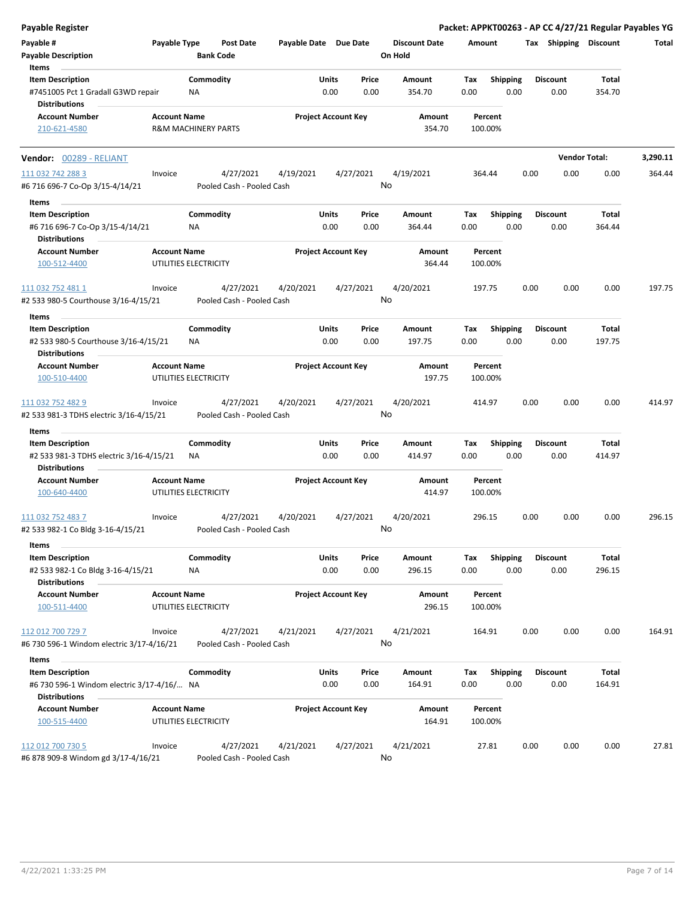| <b>Payable Register</b>                                                                        |                     |                                        |                       |                            |               |                                 |                    |                         |      |                         | Packet: APPKT00263 - AP CC 4/27/21 Regular Payables YG |          |
|------------------------------------------------------------------------------------------------|---------------------|----------------------------------------|-----------------------|----------------------------|---------------|---------------------------------|--------------------|-------------------------|------|-------------------------|--------------------------------------------------------|----------|
| Payable #<br><b>Payable Description</b>                                                        | Payable Type        | Post Date<br><b>Bank Code</b>          | Payable Date Due Date |                            |               | <b>Discount Date</b><br>On Hold | Amount             |                         |      | Tax Shipping Discount   |                                                        | Total    |
| Items<br><b>Item Description</b><br>#7451005 Pct 1 Gradall G3WD repair<br><b>Distributions</b> |                     | Commodity<br>ΝA                        |                       | Units<br>0.00              | Price<br>0.00 | Amount<br>354.70                | Tax<br>0.00        | <b>Shipping</b><br>0.00 |      | <b>Discount</b><br>0.00 | Total<br>354.70                                        |          |
| <b>Account Number</b><br>210-621-4580                                                          | <b>Account Name</b> | <b>R&amp;M MACHINERY PARTS</b>         |                       | <b>Project Account Key</b> |               | Amount<br>354.70                | Percent<br>100.00% |                         |      |                         |                                                        |          |
| <b>Vendor: 00289 - RELIANT</b>                                                                 |                     |                                        |                       |                            |               |                                 |                    |                         |      |                         | <b>Vendor Total:</b>                                   | 3,290.11 |
| 111 032 742 288 3<br>#6 716 696-7 Co-Op 3/15-4/14/21                                           | Invoice             | 4/27/2021<br>Pooled Cash - Pooled Cash | 4/19/2021             | 4/27/2021                  |               | 4/19/2021<br>No                 | 364.44             |                         | 0.00 | 0.00                    | 0.00                                                   | 364.44   |
| Items                                                                                          |                     |                                        |                       |                            |               |                                 |                    |                         |      |                         |                                                        |          |
| <b>Item Description</b>                                                                        |                     | Commodity                              |                       | Units                      | Price         | Amount                          | Tax                | <b>Shipping</b>         |      | <b>Discount</b>         | Total                                                  |          |
| #6 716 696-7 Co-Op 3/15-4/14/21<br><b>Distributions</b>                                        |                     | ΝA                                     |                       | 0.00                       | 0.00          | 364.44                          | 0.00               | 0.00                    |      | 0.00                    | 364.44                                                 |          |
| <b>Account Number</b><br>100-512-4400                                                          | <b>Account Name</b> | UTILITIES ELECTRICITY                  |                       | <b>Project Account Key</b> |               | Amount<br>364.44                | Percent<br>100.00% |                         |      |                         |                                                        |          |
| 111 032 752 481 1<br>#2 533 980-5 Courthouse 3/16-4/15/21                                      | Invoice             | 4/27/2021<br>Pooled Cash - Pooled Cash | 4/20/2021             | 4/27/2021                  |               | 4/20/2021<br>No                 | 197.75             |                         | 0.00 | 0.00                    | 0.00                                                   | 197.75   |
| Items                                                                                          |                     |                                        |                       |                            |               |                                 |                    |                         |      |                         |                                                        |          |
| <b>Item Description</b><br>#2 533 980-5 Courthouse 3/16-4/15/21<br><b>Distributions</b>        |                     | Commodity<br>ΝA                        |                       | Units<br>0.00              | Price<br>0.00 | Amount<br>197.75                | Tax<br>0.00        | <b>Shipping</b><br>0.00 |      | <b>Discount</b><br>0.00 | Total<br>197.75                                        |          |
| <b>Account Number</b>                                                                          | <b>Account Name</b> |                                        |                       | <b>Project Account Key</b> |               | Amount                          | Percent            |                         |      |                         |                                                        |          |
| 100-510-4400                                                                                   |                     | UTILITIES ELECTRICITY                  |                       |                            |               | 197.75                          | 100.00%            |                         |      |                         |                                                        |          |
| 111 032 752 482 9<br>#2 533 981-3 TDHS electric 3/16-4/15/21                                   | Invoice             | 4/27/2021<br>Pooled Cash - Pooled Cash | 4/20/2021             | 4/27/2021                  |               | 4/20/2021<br>No                 | 414.97             |                         | 0.00 | 0.00                    | 0.00                                                   | 414.97   |
| Items                                                                                          |                     |                                        |                       |                            |               |                                 |                    |                         |      |                         |                                                        |          |
| <b>Item Description</b><br>#2 533 981-3 TDHS electric 3/16-4/15/21                             |                     | Commodity<br>ΝA                        |                       | Units<br>0.00              | Price<br>0.00 | Amount<br>414.97                | Tax<br>0.00        | <b>Shipping</b><br>0.00 |      | <b>Discount</b><br>0.00 | Total<br>414.97                                        |          |
| <b>Distributions</b><br><b>Account Number</b>                                                  | <b>Account Name</b> |                                        |                       | <b>Project Account Key</b> |               | Amount                          | Percent            |                         |      |                         |                                                        |          |
| 100-640-4400                                                                                   |                     | UTILITIES ELECTRICITY                  |                       |                            |               | 414.97                          | 100.00%            |                         |      |                         |                                                        |          |
| 111 032 752 483 7<br>#2 533 982-1 Co Bldg 3-16-4/15/21                                         | Invoice             | 4/27/2021<br>Pooled Cash - Pooled Cash | 4/20/2021             |                            | 4/27/2021     | 4/20/2021<br>No                 | 296.15             |                         | 0.00 | 0.00                    | 0.00                                                   | 296.15   |
| Items                                                                                          |                     |                                        |                       |                            |               |                                 |                    |                         |      |                         |                                                        |          |
| <b>Item Description</b><br>#2 533 982-1 Co Bldg 3-16-4/15/21                                   |                     | Commodity<br>ΝA                        |                       | <b>Units</b><br>0.00       | Price<br>0.00 | Amount<br>296.15                | Tax<br>0.00        | <b>Shipping</b><br>0.00 |      | <b>Discount</b><br>0.00 | Total<br>296.15                                        |          |
| <b>Distributions</b><br><b>Account Number</b><br>100-511-4400                                  | <b>Account Name</b> | UTILITIES ELECTRICITY                  |                       | <b>Project Account Key</b> |               | Amount<br>296.15                | Percent<br>100.00% |                         |      |                         |                                                        |          |
| 112 012 700 729 7                                                                              | Invoice             | 4/27/2021                              | 4/21/2021             | 4/27/2021                  |               | 4/21/2021                       | 164.91             |                         | 0.00 | 0.00                    | 0.00                                                   | 164.91   |
| #6 730 596-1 Windom electric 3/17-4/16/21                                                      |                     | Pooled Cash - Pooled Cash              |                       |                            |               | No                              |                    |                         |      |                         |                                                        |          |
| Items                                                                                          |                     |                                        |                       |                            |               |                                 |                    |                         |      |                         |                                                        |          |
| <b>Item Description</b><br>#6 730 596-1 Windom electric 3/17-4/16/ NA<br><b>Distributions</b>  |                     | Commodity                              |                       | Units<br>0.00              | Price<br>0.00 | Amount<br>164.91                | Tax<br>0.00        | Shipping<br>0.00        |      | <b>Discount</b><br>0.00 | Total<br>164.91                                        |          |
| <b>Account Number</b><br>100-515-4400                                                          | <b>Account Name</b> | UTILITIES ELECTRICITY                  |                       | <b>Project Account Key</b> |               | Amount<br>164.91                | Percent<br>100.00% |                         |      |                         |                                                        |          |
| 112 012 700 730 5<br>#6 878 909-8 Windom gd 3/17-4/16/21                                       | Invoice             | 4/27/2021<br>Pooled Cash - Pooled Cash | 4/21/2021             |                            | 4/27/2021     | 4/21/2021<br>No                 | 27.81              |                         | 0.00 | 0.00                    | 0.00                                                   | 27.81    |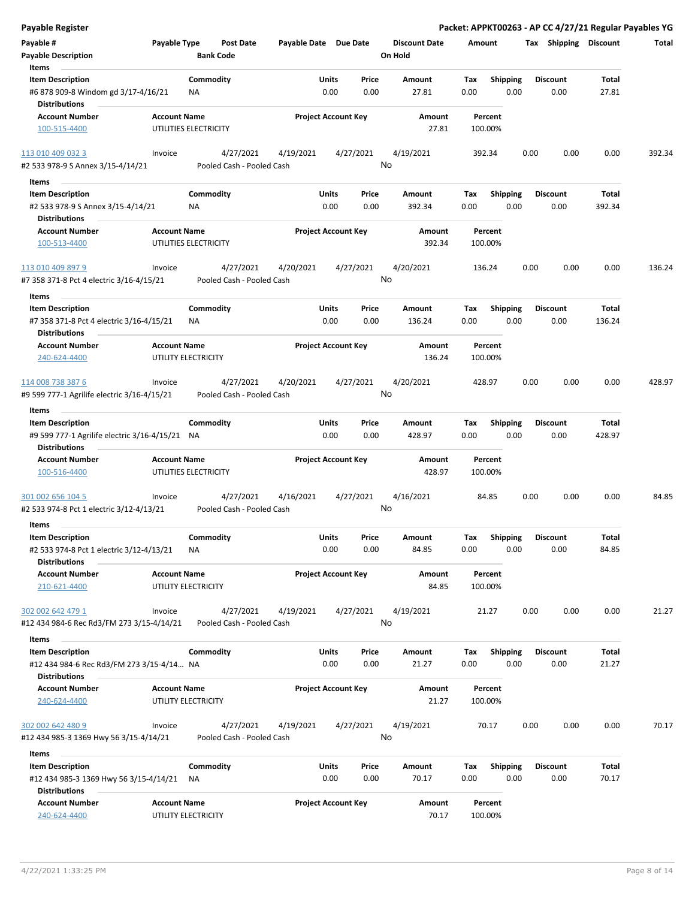| <b>Payable Register</b>                                                                     |                     |                                        |                            |               |                 |                                 |                    |                         |      |                         |                 | Packet: APPKT00263 - AP CC 4/27/21 Regular Payables YG |
|---------------------------------------------------------------------------------------------|---------------------|----------------------------------------|----------------------------|---------------|-----------------|---------------------------------|--------------------|-------------------------|------|-------------------------|-----------------|--------------------------------------------------------|
| Payable #<br><b>Payable Description</b>                                                     | Payable Type        | <b>Post Date</b><br><b>Bank Code</b>   | Payable Date Due Date      |               |                 | <b>Discount Date</b><br>On Hold | Amount             |                         |      | Tax Shipping Discount   |                 | Total                                                  |
| Items                                                                                       |                     |                                        |                            |               |                 |                                 |                    |                         |      |                         |                 |                                                        |
| <b>Item Description</b><br>#6 878 909-8 Windom gd 3/17-4/16/21<br><b>Distributions</b>      |                     | Commodity<br>ΝA                        |                            | Units<br>0.00 | Price<br>0.00   | Amount<br>27.81                 | Tax<br>0.00        | <b>Shipping</b><br>0.00 |      | <b>Discount</b><br>0.00 | Total<br>27.81  |                                                        |
| <b>Account Number</b>                                                                       | <b>Account Name</b> |                                        | <b>Project Account Key</b> |               |                 | Amount                          | Percent            |                         |      |                         |                 |                                                        |
| 100-515-4400                                                                                |                     | UTILITIES ELECTRICITY                  |                            |               |                 | 27.81                           | 100.00%            |                         |      |                         |                 |                                                        |
| 113 010 409 032 3                                                                           | Invoice             | 4/27/2021                              | 4/19/2021                  |               | 4/27/2021       | 4/19/2021                       | 392.34             |                         | 0.00 | 0.00                    | 0.00            | 392.34                                                 |
| #2 533 978-9 S Annex 3/15-4/14/21                                                           |                     | Pooled Cash - Pooled Cash              |                            |               | No              |                                 |                    |                         |      |                         |                 |                                                        |
| Items<br><b>Item Description</b>                                                            |                     | Commodity                              |                            | Units         | Price           | Amount                          | Tax                | <b>Shipping</b>         |      | <b>Discount</b>         | Total           |                                                        |
| #2 533 978-9 S Annex 3/15-4/14/21<br><b>Distributions</b>                                   |                     | ΝA                                     |                            | 0.00          | 0.00            | 392.34                          | 0.00               | 0.00                    |      | 0.00                    | 392.34          |                                                        |
| <b>Account Number</b>                                                                       | <b>Account Name</b> |                                        | <b>Project Account Key</b> |               |                 | Amount                          | Percent            |                         |      |                         |                 |                                                        |
| 100-513-4400                                                                                |                     | UTILITIES ELECTRICITY                  |                            |               |                 | 392.34                          | 100.00%            |                         |      |                         |                 |                                                        |
| 113 010 409 897 9<br>#7 358 371-8 Pct 4 electric 3/16-4/15/21                               | Invoice             | 4/27/2021<br>Pooled Cash - Pooled Cash | 4/20/2021                  |               | 4/27/2021<br>No | 4/20/2021                       | 136.24             |                         | 0.00 | 0.00                    | 0.00            | 136.24                                                 |
| Items                                                                                       |                     |                                        |                            |               |                 |                                 |                    |                         |      |                         |                 |                                                        |
| <b>Item Description</b><br>#7 358 371-8 Pct 4 electric 3/16-4/15/21<br><b>Distributions</b> |                     | Commodity<br><b>NA</b>                 |                            | Units<br>0.00 | Price<br>0.00   | Amount<br>136.24                | Tax<br>0.00        | <b>Shipping</b><br>0.00 |      | <b>Discount</b><br>0.00 | Total<br>136.24 |                                                        |
| <b>Account Number</b>                                                                       | <b>Account Name</b> |                                        | <b>Project Account Key</b> |               |                 | Amount                          | Percent            |                         |      |                         |                 |                                                        |
| 240-624-4400                                                                                |                     | UTILITY ELECTRICITY                    |                            |               |                 | 136.24                          | 100.00%            |                         |      |                         |                 |                                                        |
| 114 008 738 387 6                                                                           | Invoice             | 4/27/2021                              | 4/20/2021                  |               | 4/27/2021       | 4/20/2021                       | 428.97             |                         | 0.00 | 0.00                    | 0.00            | 428.97                                                 |
| #9 599 777-1 Agrilife electric 3/16-4/15/21                                                 |                     | Pooled Cash - Pooled Cash              |                            |               | No              |                                 |                    |                         |      |                         |                 |                                                        |
| Items                                                                                       |                     |                                        |                            |               |                 |                                 |                    |                         |      |                         |                 |                                                        |
| <b>Item Description</b>                                                                     |                     | Commodity                              |                            | Units         | Price           | Amount                          | Tax                | <b>Shipping</b>         |      | <b>Discount</b>         | Total           |                                                        |
| #9 599 777-1 Agrilife electric 3/16-4/15/21 NA<br><b>Distributions</b>                      |                     |                                        |                            | 0.00          | 0.00            | 428.97                          | 0.00               | 0.00                    |      | 0.00                    | 428.97          |                                                        |
| <b>Account Number</b><br>100-516-4400                                                       | <b>Account Name</b> | UTILITIES ELECTRICITY                  | <b>Project Account Key</b> |               |                 | Amount<br>428.97                | Percent<br>100.00% |                         |      |                         |                 |                                                        |
| 301 002 656 104 5                                                                           | Invoice             | 4/27/2021                              | 4/16/2021                  |               | 4/27/2021       | 4/16/2021                       | 84.85              |                         | 0.00 | 0.00                    | 0.00            | 84.85                                                  |
| #2 533 974-8 Pct 1 electric 3/12-4/13/21                                                    |                     | Pooled Cash - Pooled Cash              |                            |               |                 | No                              |                    |                         |      |                         |                 |                                                        |
| Items                                                                                       |                     |                                        |                            |               |                 |                                 |                    |                         |      |                         |                 |                                                        |
| <b>Item Description</b>                                                                     |                     | Commodity                              |                            | Units         | Price           | Amount                          | Tax                | <b>Shipping</b>         |      | <b>Discount</b>         | Total           |                                                        |
| #2 533 974-8 Pct 1 electric 3/12-4/13/21<br><b>Distributions</b>                            |                     | ΝA                                     |                            | 0.00          | 0.00            | 84.85                           | 0.00               | 0.00                    |      | 0.00                    | 84.85           |                                                        |
| <b>Account Number</b><br>210-621-4400                                                       | <b>Account Name</b> | UTILITY ELECTRICITY                    | <b>Project Account Key</b> |               |                 | Amount<br>84.85                 | Percent<br>100.00% |                         |      |                         |                 |                                                        |
| 302 002 642 479 1<br>#12 434 984-6 Rec Rd3/FM 273 3/15-4/14/21                              | Invoice             | 4/27/2021<br>Pooled Cash - Pooled Cash | 4/19/2021                  |               | 4/27/2021<br>No | 4/19/2021                       | 21.27              |                         | 0.00 | 0.00                    | 0.00            | 21.27                                                  |
|                                                                                             |                     |                                        |                            |               |                 |                                 |                    |                         |      |                         |                 |                                                        |
| Items                                                                                       |                     |                                        |                            |               |                 |                                 |                    |                         |      |                         |                 |                                                        |
| <b>Item Description</b>                                                                     |                     | Commodity                              |                            | Units         | Price           | Amount                          | Tax                | <b>Shipping</b>         |      | <b>Discount</b>         | Total           |                                                        |
| #12 434 984-6 Rec Rd3/FM 273 3/15-4/14 NA<br><b>Distributions</b>                           |                     |                                        |                            | 0.00          | 0.00            | 21.27                           | 0.00               | 0.00                    |      | 0.00                    | 21.27           |                                                        |
| <b>Account Number</b><br>240-624-4400                                                       | <b>Account Name</b> | UTILITY ELECTRICITY                    | <b>Project Account Key</b> |               |                 | Amount<br>21.27                 | Percent<br>100.00% |                         |      |                         |                 |                                                        |
| 302 002 642 480 9<br>#12 434 985-3 1369 Hwy 56 3/15-4/14/21                                 | Invoice             | 4/27/2021<br>Pooled Cash - Pooled Cash | 4/19/2021                  |               | 4/27/2021<br>No | 4/19/2021                       | 70.17              |                         | 0.00 | 0.00                    | 0.00            | 70.17                                                  |
| Items                                                                                       |                     |                                        |                            |               |                 |                                 |                    |                         |      |                         |                 |                                                        |
| <b>Item Description</b>                                                                     |                     | Commodity                              |                            | Units         | Price           | Amount                          | Tax                | <b>Shipping</b>         |      | <b>Discount</b>         | Total           |                                                        |
| #12 434 985-3 1369 Hwy 56 3/15-4/14/21<br><b>Distributions</b>                              |                     | ΝA                                     |                            | 0.00          | 0.00            | 70.17                           | 0.00               | 0.00                    |      | 0.00                    | 70.17           |                                                        |
| <b>Account Number</b>                                                                       | <b>Account Name</b> |                                        | <b>Project Account Key</b> |               |                 | Amount                          | Percent            |                         |      |                         |                 |                                                        |
| 240-624-4400                                                                                |                     | UTILITY ELECTRICITY                    |                            |               |                 | 70.17                           | 100.00%            |                         |      |                         |                 |                                                        |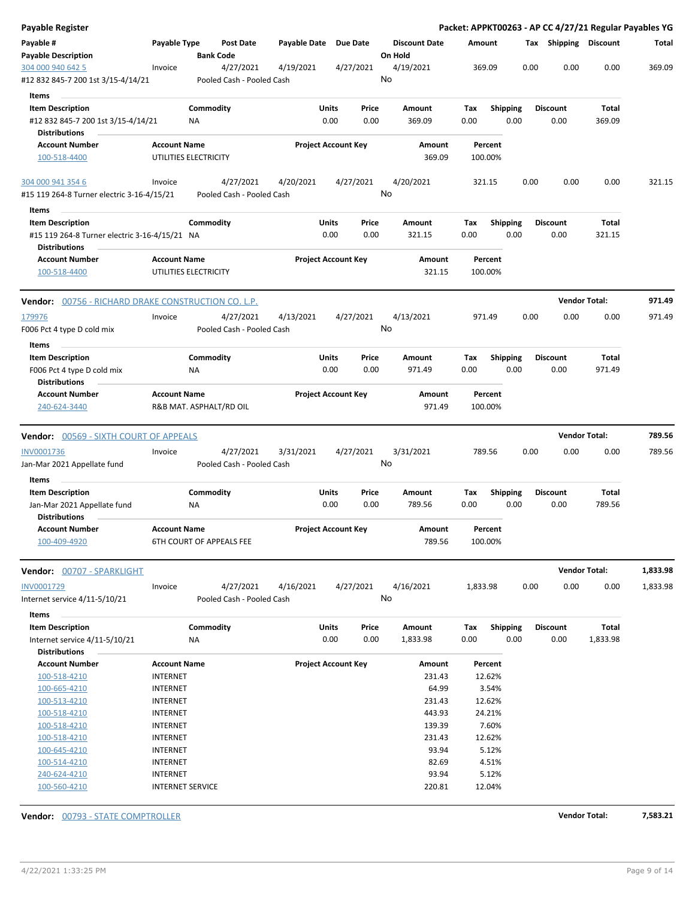| Payable Register                                                                      |                                              |                  |                                        |                            |               |               |                                 |             |                         |      |                         |                      | Packet: APPKT00263 - AP CC 4/27/21 Regular Payables YG |
|---------------------------------------------------------------------------------------|----------------------------------------------|------------------|----------------------------------------|----------------------------|---------------|---------------|---------------------------------|-------------|-------------------------|------|-------------------------|----------------------|--------------------------------------------------------|
| Payable #<br><b>Payable Description</b>                                               | Payable Type                                 | <b>Bank Code</b> | Post Date                              | Payable Date Due Date      |               |               | <b>Discount Date</b><br>On Hold | Amount      |                         |      | Tax Shipping Discount   |                      | Total                                                  |
| 304 000 940 642 5<br>#12 832 845-7 200 1st 3/15-4/14/21                               | Invoice                                      |                  | 4/27/2021<br>Pooled Cash - Pooled Cash | 4/19/2021                  |               | 4/27/2021     | 4/19/2021<br>No                 | 369.09      |                         | 0.00 | 0.00                    | 0.00                 | 369.09                                                 |
| Items                                                                                 |                                              |                  |                                        |                            |               |               |                                 |             |                         |      |                         |                      |                                                        |
| <b>Item Description</b><br>#12 832 845-7 200 1st 3/15-4/14/21<br><b>Distributions</b> |                                              | Commodity<br>ΝA  |                                        |                            | Units<br>0.00 | Price<br>0.00 | Amount<br>369.09                | Tax<br>0.00 | <b>Shipping</b><br>0.00 |      | <b>Discount</b><br>0.00 | Total<br>369.09      |                                                        |
| <b>Account Number</b>                                                                 | <b>Account Name</b>                          |                  |                                        | <b>Project Account Key</b> |               |               | Amount                          |             | Percent                 |      |                         |                      |                                                        |
| 100-518-4400                                                                          | UTILITIES ELECTRICITY                        |                  |                                        |                            |               |               | 369.09                          |             | 100.00%                 |      |                         |                      |                                                        |
| 304 000 941 354 6                                                                     | Invoice                                      |                  | 4/27/2021                              | 4/20/2021                  |               | 4/27/2021     | 4/20/2021                       | 321.15      |                         | 0.00 | 0.00                    | 0.00                 | 321.15                                                 |
| #15 119 264-8 Turner electric 3-16-4/15/21                                            |                                              |                  | Pooled Cash - Pooled Cash              |                            |               |               | No                              |             |                         |      |                         |                      |                                                        |
| Items                                                                                 |                                              |                  |                                        |                            |               |               |                                 |             |                         |      |                         |                      |                                                        |
| <b>Item Description</b>                                                               |                                              | Commodity        |                                        |                            | Units         | Price         | Amount                          | Tax         | <b>Shipping</b>         |      | <b>Discount</b>         | Total                |                                                        |
| #15 119 264-8 Turner electric 3-16-4/15/21 NA<br><b>Distributions</b>                 |                                              |                  |                                        |                            | 0.00          | 0.00          | 321.15                          | 0.00        | 0.00                    |      | 0.00                    | 321.15               |                                                        |
| <b>Account Number</b><br>100-518-4400                                                 | <b>Account Name</b><br>UTILITIES ELECTRICITY |                  |                                        | <b>Project Account Key</b> |               |               | Amount<br>321.15                |             | Percent<br>100.00%      |      |                         |                      |                                                        |
| <b>Vendor:</b> 00756 - RICHARD DRAKE CONSTRUCTION CO. L.P.                            |                                              |                  |                                        |                            |               |               |                                 |             |                         |      |                         | <b>Vendor Total:</b> | 971.49                                                 |
| 179976                                                                                | Invoice                                      |                  | 4/27/2021                              | 4/13/2021                  |               | 4/27/2021     | 4/13/2021                       | 971.49      |                         | 0.00 | 0.00                    | 0.00                 | 971.49                                                 |
| F006 Pct 4 type D cold mix                                                            |                                              |                  | Pooled Cash - Pooled Cash              |                            |               |               | No                              |             |                         |      |                         |                      |                                                        |
| Items                                                                                 |                                              |                  |                                        |                            |               |               |                                 |             |                         |      |                         |                      |                                                        |
| <b>Item Description</b>                                                               |                                              | Commodity        |                                        |                            | Units         | Price         | Amount                          | Tax         | <b>Shipping</b>         |      | <b>Discount</b>         | <b>Total</b>         |                                                        |
| F006 Pct 4 type D cold mix<br><b>Distributions</b>                                    |                                              | ΝA               |                                        |                            | 0.00          | 0.00          | 971.49                          | 0.00        | 0.00                    |      | 0.00                    | 971.49               |                                                        |
| <b>Account Number</b>                                                                 | <b>Account Name</b>                          |                  |                                        | <b>Project Account Key</b> |               |               | Amount                          |             | Percent                 |      |                         |                      |                                                        |
| 240-624-3440                                                                          | R&B MAT. ASPHALT/RD OIL                      |                  |                                        |                            |               |               | 971.49                          |             | 100.00%                 |      |                         |                      |                                                        |
|                                                                                       |                                              |                  |                                        |                            |               |               |                                 |             |                         |      |                         |                      |                                                        |
| <b>Vendor: 00569 - SIXTH COURT OF APPEALS</b>                                         |                                              |                  |                                        |                            |               |               |                                 |             |                         |      |                         | <b>Vendor Total:</b> | 789.56                                                 |
| <b>INV0001736</b>                                                                     | Invoice                                      |                  | 4/27/2021                              | 3/31/2021                  |               | 4/27/2021     | 3/31/2021                       | 789.56      |                         | 0.00 | 0.00                    | 0.00                 | 789.56                                                 |
| Jan-Mar 2021 Appellate fund<br>Items                                                  |                                              |                  | Pooled Cash - Pooled Cash              |                            |               |               | No                              |             |                         |      |                         |                      |                                                        |
| <b>Item Description</b>                                                               |                                              | Commodity        |                                        |                            | Units         | Price         | Amount                          | Tax         | <b>Shipping</b>         |      | <b>Discount</b>         | <b>Total</b>         |                                                        |
| Jan-Mar 2021 Appellate fund<br><b>Distributions</b>                                   |                                              | ΝA               |                                        |                            | 0.00          | 0.00          | 789.56                          | 0.00        | 0.00                    |      | 0.00                    | 789.56               |                                                        |
| <b>Account Number</b>                                                                 | <b>Account Name</b>                          |                  |                                        | <b>Project Account Key</b> |               |               | Amount                          |             | Percent                 |      |                         |                      |                                                        |
| 100-409-4920                                                                          | 6TH COURT OF APPEALS FEE                     |                  |                                        |                            |               |               | 789.56                          |             | 100.00%                 |      |                         |                      |                                                        |
| Vendor: 00707 - SPARKLIGHT                                                            |                                              |                  |                                        |                            |               |               |                                 |             |                         |      |                         | <b>Vendor Total:</b> | 1,833.98                                               |
| INV0001729                                                                            | Invoice                                      |                  | 4/27/2021                              | 4/16/2021                  |               | 4/27/2021     | 4/16/2021                       | 1,833.98    |                         | 0.00 | 0.00                    | 0.00                 | 1,833.98                                               |
| Internet service 4/11-5/10/21                                                         |                                              |                  | Pooled Cash - Pooled Cash              |                            |               |               | No                              |             |                         |      |                         |                      |                                                        |
| Items                                                                                 |                                              |                  |                                        |                            |               |               |                                 |             |                         |      |                         |                      |                                                        |
| <b>Item Description</b>                                                               |                                              | Commodity        |                                        |                            | Units         | Price         | Amount                          | Tax         | <b>Shipping</b>         |      | <b>Discount</b>         | Total                |                                                        |
| Internet service 4/11-5/10/21<br><b>Distributions</b>                                 |                                              | <b>NA</b>        |                                        |                            | 0.00          | 0.00          | 1,833.98                        | 0.00        | 0.00                    |      | 0.00                    | 1,833.98             |                                                        |
| <b>Account Number</b>                                                                 | <b>Account Name</b>                          |                  |                                        | <b>Project Account Key</b> |               |               | Amount                          |             | Percent                 |      |                         |                      |                                                        |
| 100-518-4210                                                                          | <b>INTERNET</b>                              |                  |                                        |                            |               |               | 231.43                          |             | 12.62%                  |      |                         |                      |                                                        |
| 100-665-4210                                                                          | <b>INTERNET</b>                              |                  |                                        |                            |               |               | 64.99                           |             | 3.54%                   |      |                         |                      |                                                        |
| 100-513-4210                                                                          | <b>INTERNET</b>                              |                  |                                        |                            |               |               | 231.43                          |             | 12.62%                  |      |                         |                      |                                                        |
| 100-518-4210                                                                          | <b>INTERNET</b>                              |                  |                                        |                            |               |               | 443.93                          |             | 24.21%                  |      |                         |                      |                                                        |
| 100-518-4210                                                                          | <b>INTERNET</b>                              |                  |                                        |                            |               |               | 139.39                          |             | 7.60%                   |      |                         |                      |                                                        |
| 100-518-4210                                                                          | <b>INTERNET</b>                              |                  |                                        |                            |               |               | 231.43                          |             | 12.62%                  |      |                         |                      |                                                        |
| 100-645-4210                                                                          | <b>INTERNET</b>                              |                  |                                        |                            |               |               | 93.94                           |             | 5.12%                   |      |                         |                      |                                                        |
| 100-514-4210                                                                          | <b>INTERNET</b>                              |                  |                                        |                            |               |               | 82.69                           |             | 4.51%                   |      |                         |                      |                                                        |
| 240-624-4210                                                                          | <b>INTERNET</b>                              |                  |                                        |                            |               |               | 93.94                           |             | 5.12%                   |      |                         |                      |                                                        |
| 100-560-4210                                                                          | <b>INTERNET SERVICE</b>                      |                  |                                        |                            |               |               | 220.81                          |             | 12.04%                  |      |                         |                      |                                                        |
|                                                                                       |                                              |                  |                                        |                            |               |               |                                 |             |                         |      |                         |                      |                                                        |

**Vendor:** 00793 - STATE COMPTROLLER **Vendor Total: 7,583.21**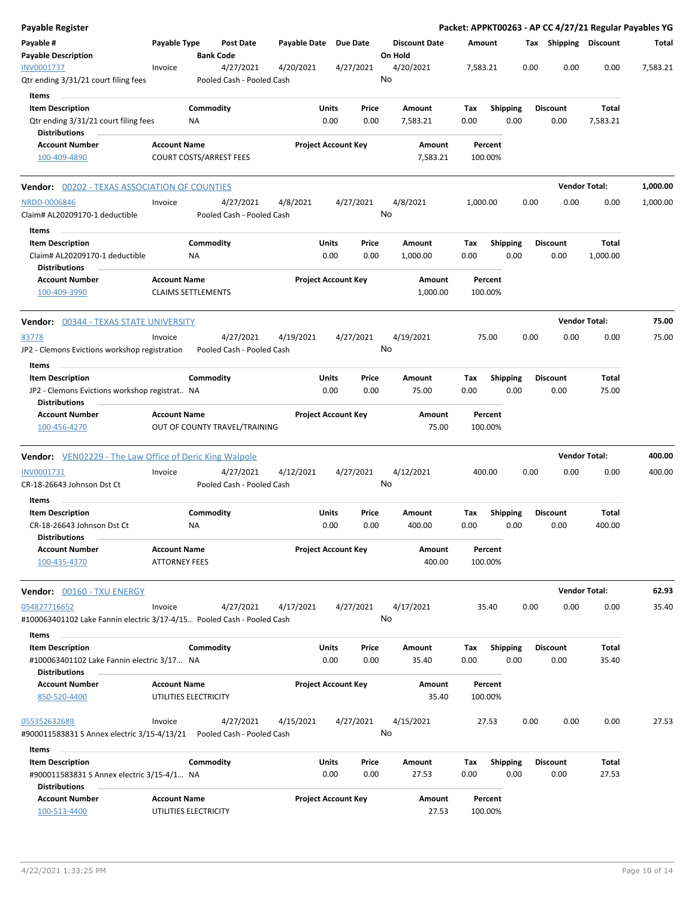| <b>Payable Register</b>                                                                 |                                                  |                 |                                        |                       |                            |                                 |                    |                    |                         |      |                         |                      | Packet: APPKT00263 - AP CC 4/27/21 Regular Payables YG |
|-----------------------------------------------------------------------------------------|--------------------------------------------------|-----------------|----------------------------------------|-----------------------|----------------------------|---------------------------------|--------------------|--------------------|-------------------------|------|-------------------------|----------------------|--------------------------------------------------------|
| Payable #<br><b>Payable Description</b>                                                 | Payable Type                                     |                 | Post Date<br><b>Bank Code</b>          | Payable Date Due Date |                            | <b>Discount Date</b><br>On Hold |                    | Amount             |                         |      | Tax Shipping Discount   |                      | Total                                                  |
| INV0001737<br>Qtr ending 3/31/21 court filing fees                                      | Invoice                                          |                 | 4/27/2021<br>Pooled Cash - Pooled Cash | 4/20/2021             | 4/27/2021                  | 4/20/2021<br>No                 |                    | 7,583.21           |                         | 0.00 | 0.00                    | 0.00                 | 7,583.21                                               |
| Items                                                                                   |                                                  |                 |                                        |                       |                            |                                 |                    |                    |                         |      |                         |                      |                                                        |
| <b>Item Description</b><br>Qtr ending 3/31/21 court filing fees<br><b>Distributions</b> |                                                  | Commodity<br>NA |                                        | Units                 | Price<br>0.00<br>0.00      | Amount<br>7,583.21              |                    | Tax<br>0.00        | <b>Shipping</b><br>0.00 |      | <b>Discount</b><br>0.00 | Total<br>7,583.21    |                                                        |
| <b>Account Number</b>                                                                   | <b>Account Name</b>                              |                 |                                        |                       | <b>Project Account Key</b> |                                 | Amount             | Percent            |                         |      |                         |                      |                                                        |
| 100-409-4890                                                                            |                                                  |                 | <b>COURT COSTS/ARREST FEES</b>         |                       |                            |                                 | 7,583.21           | 100.00%            |                         |      |                         |                      |                                                        |
| <b>Vendor: 00202 - TEXAS ASSOCIATION OF COUNTIES</b>                                    |                                                  |                 |                                        |                       |                            |                                 |                    |                    |                         |      |                         | <b>Vendor Total:</b> | 1,000.00                                               |
| NRDD-0006846<br>Claim# AL20209170-1 deductible                                          | Invoice                                          |                 | 4/27/2021<br>Pooled Cash - Pooled Cash | 4/8/2021              | 4/27/2021                  | 4/8/2021<br>No                  |                    | 1,000.00           |                         | 0.00 | 0.00                    | 0.00                 | 1,000.00                                               |
| Items                                                                                   |                                                  |                 |                                        |                       |                            |                                 |                    |                    |                         |      |                         |                      |                                                        |
| <b>Item Description</b><br>Claim# AL20209170-1 deductible<br><b>Distributions</b>       |                                                  | Commodity<br>ΝA |                                        | Units                 | Price<br>0.00<br>0.00      | Amount<br>1,000.00              |                    | Tax<br>0.00        | <b>Shipping</b><br>0.00 |      | <b>Discount</b><br>0.00 | Total<br>1,000.00    |                                                        |
| <b>Account Number</b><br>100-409-3990                                                   | <b>Account Name</b><br><b>CLAIMS SETTLEMENTS</b> |                 |                                        |                       | <b>Project Account Key</b> |                                 | Amount<br>1,000.00 | Percent<br>100.00% |                         |      |                         |                      |                                                        |
| Vendor: 00344 - TEXAS STATE UNIVERSITY                                                  |                                                  |                 |                                        |                       |                            |                                 |                    |                    |                         |      |                         | <b>Vendor Total:</b> | 75.00                                                  |
| 83778                                                                                   | Invoice                                          |                 | 4/27/2021                              | 4/19/2021             | 4/27/2021                  | 4/19/2021                       |                    | 75.00              |                         | 0.00 | 0.00                    | 0.00                 | 75.00                                                  |
| JP2 - Clemons Evictions workshop registration                                           |                                                  |                 | Pooled Cash - Pooled Cash              |                       |                            | No                              |                    |                    |                         |      |                         |                      |                                                        |
| Items                                                                                   |                                                  |                 |                                        |                       |                            |                                 |                    |                    |                         |      |                         |                      |                                                        |
| <b>Item Description</b>                                                                 |                                                  | Commodity       |                                        |                       | Units<br>Price             | Amount                          |                    | Tax                | <b>Shipping</b>         |      | <b>Discount</b>         | Total                |                                                        |
| JP2 - Clemons Evictions workshop registrat NA<br><b>Distributions</b>                   |                                                  |                 |                                        |                       | 0.00<br>0.00               | 75.00                           |                    | 0.00               | 0.00                    |      | 0.00                    | 75.00                |                                                        |
| <b>Account Number</b>                                                                   | <b>Account Name</b>                              |                 |                                        |                       | <b>Project Account Key</b> |                                 | Amount             | Percent            |                         |      |                         |                      |                                                        |
| 100-456-4270                                                                            |                                                  |                 | OUT OF COUNTY TRAVEL/TRAINING          |                       |                            |                                 | 75.00              | 100.00%            |                         |      |                         |                      |                                                        |
| <b>Vendor:</b> VEN02229 - The Law Office of Deric King Walpole                          |                                                  |                 |                                        |                       |                            |                                 |                    |                    |                         |      |                         | <b>Vendor Total:</b> | 400.00                                                 |
| INV0001731<br>CR-18-26643 Johnson Dst Ct                                                | Invoice                                          |                 | 4/27/2021<br>Pooled Cash - Pooled Cash | 4/12/2021             | 4/27/2021                  | 4/12/2021<br>No                 |                    | 400.00             |                         | 0.00 | 0.00                    | 0.00                 | 400.00                                                 |
| Items                                                                                   |                                                  |                 |                                        |                       |                            |                                 |                    |                    |                         |      |                         |                      |                                                        |
| <b>Item Description</b>                                                                 |                                                  | Commodity       |                                        | Units                 | Price                      | Amount                          |                    | Tax                | <b>Shipping</b>         |      | Discount                | Total                |                                                        |
| CR-18-26643 Johnson Dst Ct<br><b>Distributions</b>                                      |                                                  | NA              |                                        |                       | 0.00<br>0.00               | 400.00                          |                    | 0.00               | 0.00                    |      | 0.00                    | 400.00               |                                                        |
| <b>Account Number</b><br>100-435-4370                                                   | <b>Account Name</b><br><b>ATTORNEY FEES</b>      |                 |                                        |                       | <b>Project Account Key</b> |                                 | Amount<br>400.00   | Percent<br>100.00% |                         |      |                         |                      |                                                        |
| Vendor: 00160 - TXU ENERGY                                                              |                                                  |                 |                                        |                       |                            |                                 |                    |                    |                         |      |                         | <b>Vendor Total:</b> | 62.93                                                  |
| 054827716652                                                                            | Invoice                                          |                 | 4/27/2021                              | 4/17/2021             | 4/27/2021                  | 4/17/2021                       |                    | 35.40              |                         | 0.00 | 0.00                    | 0.00                 | 35.40                                                  |
| #100063401102 Lake Fannin electric 3/17-4/15 Pooled Cash - Pooled Cash                  |                                                  |                 |                                        |                       |                            | No                              |                    |                    |                         |      |                         |                      |                                                        |
| Items<br><b>Item Description</b>                                                        |                                                  | Commodity       |                                        |                       | Units<br>Price             | Amount                          |                    | Tax                | <b>Shipping</b>         |      | <b>Discount</b>         | Total                |                                                        |
| #100063401102 Lake Fannin electric 3/17 NA                                              |                                                  |                 |                                        |                       | 0.00<br>0.00               | 35.40                           |                    | 0.00               | 0.00                    |      | 0.00                    | 35.40                |                                                        |
| <b>Distributions</b>                                                                    |                                                  |                 |                                        |                       |                            |                                 |                    |                    |                         |      |                         |                      |                                                        |
| <b>Account Number</b>                                                                   | <b>Account Name</b>                              |                 |                                        |                       | <b>Project Account Key</b> |                                 | Amount             | Percent            |                         |      |                         |                      |                                                        |
| 850-520-4400                                                                            | UTILITIES ELECTRICITY                            |                 |                                        |                       |                            |                                 | 35.40              | 100.00%            |                         |      |                         |                      |                                                        |
| 055352632689<br>#900011583831 S Annex electric 3/15-4/13/21                             | Invoice                                          |                 | 4/27/2021<br>Pooled Cash - Pooled Cash | 4/15/2021             | 4/27/2021                  | 4/15/2021<br>No                 |                    | 27.53              |                         | 0.00 | 0.00                    | 0.00                 | 27.53                                                  |
| Items                                                                                   |                                                  |                 |                                        |                       |                            |                                 |                    |                    |                         |      |                         |                      |                                                        |
| <b>Item Description</b>                                                                 |                                                  | Commodity       |                                        |                       | Units<br>Price             | Amount                          |                    | Tax                | Shipping                |      | Discount                | Total                |                                                        |
| #900011583831 S Annex electric 3/15-4/1 NA<br>Distributions                             |                                                  |                 |                                        |                       | 0.00<br>0.00               | 27.53                           |                    | 0.00               | 0.00                    |      | 0.00                    | 27.53                |                                                        |
| <b>Account Number</b><br>100-513-4400                                                   | <b>Account Name</b><br>UTILITIES ELECTRICITY     |                 |                                        |                       | <b>Project Account Key</b> |                                 | Amount<br>27.53    | Percent<br>100.00% |                         |      |                         |                      |                                                        |
|                                                                                         |                                                  |                 |                                        |                       |                            |                                 |                    |                    |                         |      |                         |                      |                                                        |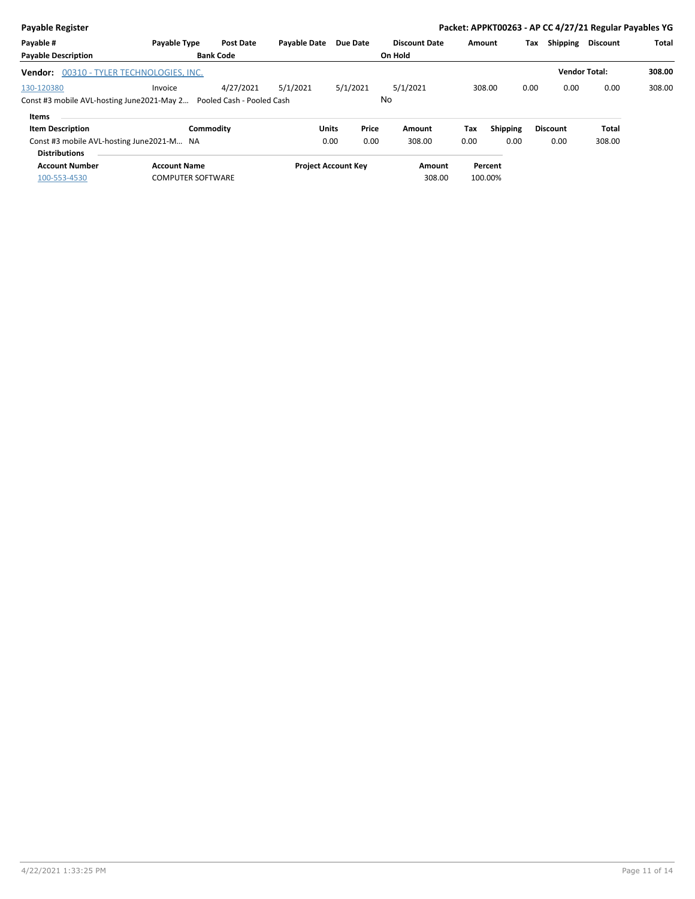| <b>Payable Register</b>                                              |                                  |                  |                     |                            |                      |      |                 |                        | Packet: APPKT00263 - AP CC 4/27/21 Regular Payables YG |        |
|----------------------------------------------------------------------|----------------------------------|------------------|---------------------|----------------------------|----------------------|------|-----------------|------------------------|--------------------------------------------------------|--------|
| Payable #                                                            | <b>Payable Type</b>              | <b>Post Date</b> | <b>Pavable Date</b> | Due Date                   | <b>Discount Date</b> |      | Amount          | <b>Shipping</b><br>Tax | <b>Discount</b>                                        | Total  |
| <b>Payable Description</b>                                           |                                  | <b>Bank Code</b> |                     |                            | On Hold              |      |                 |                        |                                                        |        |
| Vendor:                                                              | 00310 - TYLER TECHNOLOGIES, INC. |                  |                     |                            |                      |      |                 |                        | <b>Vendor Total:</b>                                   | 308.00 |
| 130-120380                                                           | Invoice                          | 4/27/2021        | 5/1/2021            | 5/1/2021                   | 5/1/2021             |      | 308.00          | 0.00<br>0.00           | 0.00                                                   | 308.00 |
| Const #3 mobile AVL-hosting June2021-May 2 Pooled Cash - Pooled Cash |                                  |                  |                     |                            | No                   |      |                 |                        |                                                        |        |
| Items                                                                |                                  |                  |                     |                            |                      |      |                 |                        |                                                        |        |
| <b>Item Description</b>                                              | Commodity                        |                  | <b>Units</b>        | Price                      | Amount               | Tax  | <b>Shipping</b> | <b>Discount</b>        | <b>Total</b>                                           |        |
| Const #3 mobile AVL-hosting June 2021-M NA                           |                                  |                  |                     | 0.00<br>0.00               | 308.00               | 0.00 | 0.00            | 0.00                   | 308.00                                                 |        |
| <b>Distributions</b>                                                 |                                  |                  |                     |                            |                      |      |                 |                        |                                                        |        |
| <b>Account Number</b>                                                | <b>Account Name</b>              |                  |                     | <b>Project Account Key</b> | Amount               |      | Percent         |                        |                                                        |        |
| 100-553-4530                                                         | <b>COMPUTER SOFTWARE</b>         |                  |                     |                            | 308.00               |      | 100.00%         |                        |                                                        |        |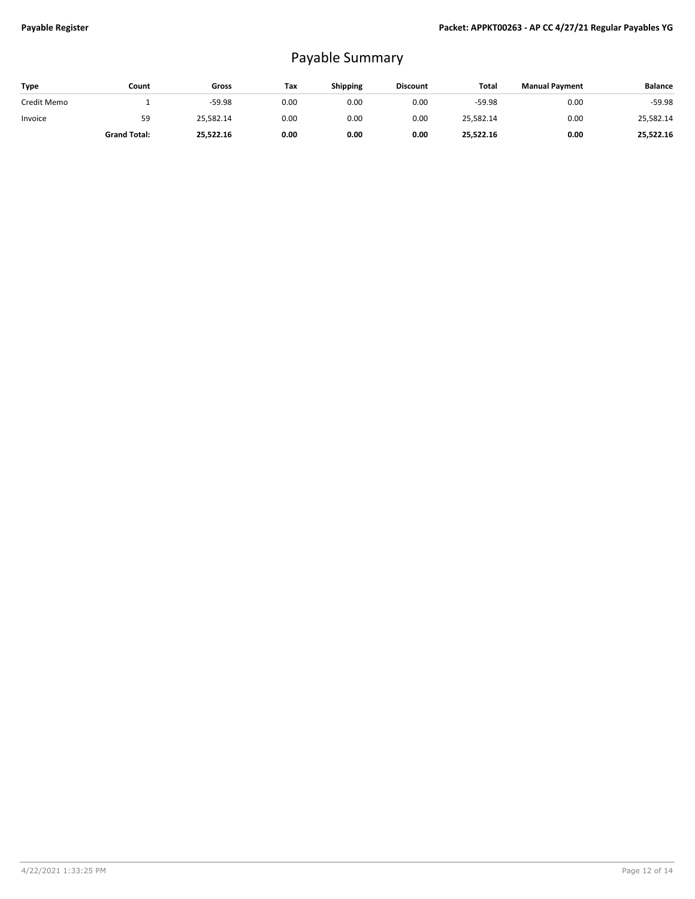## Payable Summary

| Type        | Count               | Gross     | Tax  | <b>Shipping</b> | <b>Discount</b> | Total     | <b>Manual Payment</b> | <b>Balance</b> |
|-------------|---------------------|-----------|------|-----------------|-----------------|-----------|-----------------------|----------------|
| Credit Memo |                     | $-59.98$  | 0.00 | 0.00            | 0.00            | $-59.98$  | 0.00                  | $-59.98$       |
| Invoice     | 59                  | 25,582.14 | 0.00 | 0.00            | 0.00            | 25,582.14 | 0.00                  | 25,582.14      |
|             | <b>Grand Total:</b> | 25,522.16 | 0.00 | 0.00            | 0.00            | 25,522.16 | 0.00                  | 25,522.16      |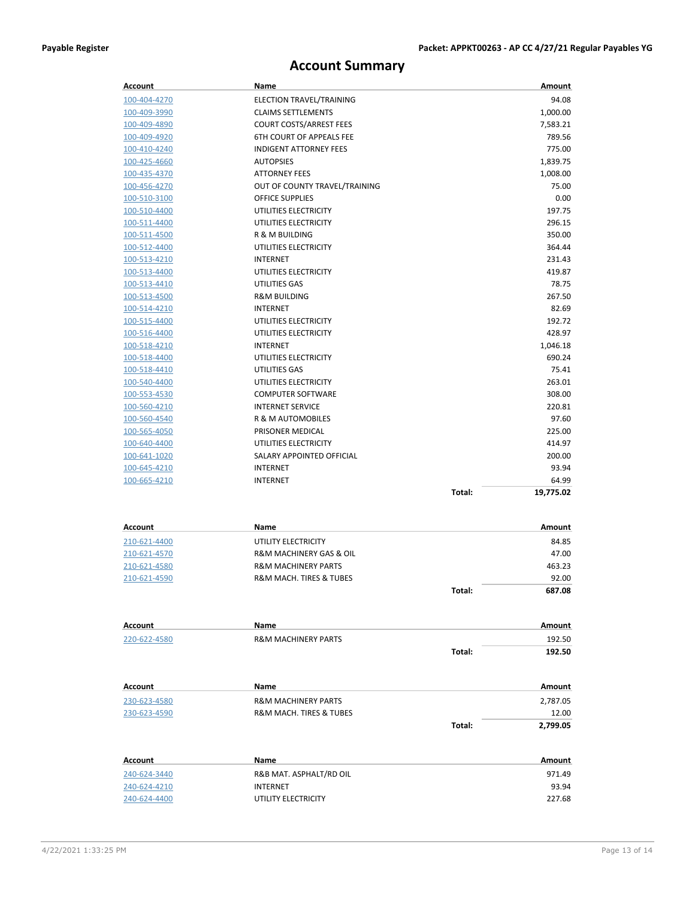#### **Account Summary**

| Account      | Name                                   |        | Amount    |
|--------------|----------------------------------------|--------|-----------|
| 100-404-4270 | ELECTION TRAVEL/TRAINING               |        | 94.08     |
| 100-409-3990 | <b>CLAIMS SETTLEMENTS</b>              |        | 1,000.00  |
| 100-409-4890 | <b>COURT COSTS/ARREST FEES</b>         |        | 7,583.21  |
| 100-409-4920 | 6TH COURT OF APPEALS FEE               |        | 789.56    |
| 100-410-4240 | <b>INDIGENT ATTORNEY FEES</b>          |        | 775.00    |
| 100-425-4660 | <b>AUTOPSIES</b>                       |        | 1,839.75  |
| 100-435-4370 | <b>ATTORNEY FEES</b>                   |        | 1,008.00  |
| 100-456-4270 | OUT OF COUNTY TRAVEL/TRAINING          |        | 75.00     |
| 100-510-3100 | <b>OFFICE SUPPLIES</b>                 |        | 0.00      |
| 100-510-4400 | UTILITIES ELECTRICITY                  |        | 197.75    |
| 100-511-4400 | UTILITIES ELECTRICITY                  |        | 296.15    |
| 100-511-4500 | R & M BUILDING                         |        | 350.00    |
| 100-512-4400 | UTILITIES ELECTRICITY                  |        | 364.44    |
| 100-513-4210 | <b>INTERNET</b>                        |        | 231.43    |
| 100-513-4400 | UTILITIES ELECTRICITY                  |        | 419.87    |
| 100-513-4410 | UTILITIES GAS                          |        | 78.75     |
| 100-513-4500 | <b>R&amp;M BUILDING</b>                |        | 267.50    |
| 100-514-4210 | <b>INTERNET</b>                        |        | 82.69     |
| 100-515-4400 | UTILITIES ELECTRICITY                  |        | 192.72    |
| 100-516-4400 | UTILITIES ELECTRICITY                  |        | 428.97    |
| 100-518-4210 | <b>INTERNET</b>                        |        | 1,046.18  |
| 100-518-4400 | UTILITIES ELECTRICITY                  |        | 690.24    |
| 100-518-4410 | UTILITIES GAS                          |        | 75.41     |
| 100-540-4400 | UTILITIES ELECTRICITY                  |        | 263.01    |
| 100-553-4530 | <b>COMPUTER SOFTWARE</b>               |        | 308.00    |
| 100-560-4210 | <b>INTERNET SERVICE</b>                |        | 220.81    |
| 100-560-4540 | R & M AUTOMOBILES                      |        | 97.60     |
| 100-565-4050 | PRISONER MEDICAL                       |        | 225.00    |
| 100-640-4400 | UTILITIES ELECTRICITY                  |        | 414.97    |
| 100-641-1020 | SALARY APPOINTED OFFICIAL              |        | 200.00    |
| 100-645-4210 | <b>INTERNET</b>                        |        | 93.94     |
| 100-665-4210 | <b>INTERNET</b>                        |        | 64.99     |
|              |                                        | Total: | 19,775.02 |
|              |                                        |        |           |
|              |                                        |        |           |
| Account      | Name                                   |        | Amount    |
| 210-621-4400 | UTILITY ELECTRICITY                    |        | 84.85     |
| 210-621-4570 | R&M MACHINERY GAS & OIL                |        | 47.00     |
| 210-621-4580 | <b>R&amp;M MACHINERY PARTS</b>         |        | 463.23    |
| 210-621-4590 | <b>R&amp;M MACH. TIRES &amp; TUBES</b> |        | 92.00     |
|              |                                        | Total: | 687.08    |
|              |                                        |        |           |
| Account      | Name                                   |        | Amount    |
| 220-622-4580 | <b>R&amp;M MACHINERY PARTS</b>         |        | 192.50    |
|              |                                        | Total: | 192.50    |
|              |                                        |        |           |
| Account      | Name                                   |        | Amount    |
| 230-623-4580 | <b>R&amp;M MACHINERY PARTS</b>         |        | 2,787.05  |
| 230-623-4590 | R&M MACH. TIRES & TUBES                |        | 12.00     |
|              |                                        | Total: | 2,799.05  |
|              |                                        |        |           |
| Account      | Name                                   |        | Amount    |
| 240-624-3440 | R&B MAT. ASPHALT/RD OIL                |        | 971.49    |
| 240-624-4210 | <b>INTERNET</b>                        |        | 93.94     |
| 240-624-4400 | UTILITY ELECTRICITY                    |        | 227.68    |
|              |                                        |        |           |